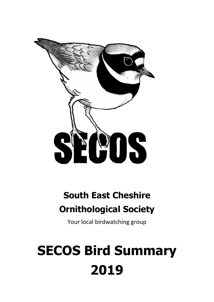

## **South East Cheshire Ornithological Society**

Your local birdwatching group

# **SECOS Bird Summary 2019**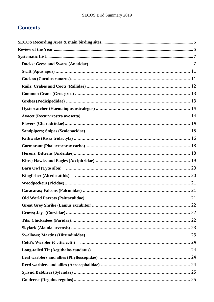## **Contents**

| Kingfisher (Alcedo atthis) manufactured contains and the contact and the contact and the contact and the contact and the contact and the contact and the contact and the contact and the contact and the contact and the conta |
|--------------------------------------------------------------------------------------------------------------------------------------------------------------------------------------------------------------------------------|
|                                                                                                                                                                                                                                |
|                                                                                                                                                                                                                                |
|                                                                                                                                                                                                                                |
|                                                                                                                                                                                                                                |
|                                                                                                                                                                                                                                |
|                                                                                                                                                                                                                                |
|                                                                                                                                                                                                                                |
|                                                                                                                                                                                                                                |
|                                                                                                                                                                                                                                |
|                                                                                                                                                                                                                                |
|                                                                                                                                                                                                                                |
|                                                                                                                                                                                                                                |
|                                                                                                                                                                                                                                |
|                                                                                                                                                                                                                                |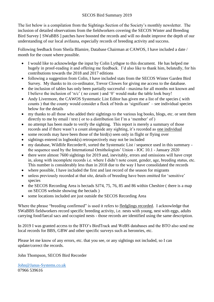#### SECOS Bird Summary 2019

The list below is a compilation from the Sightings Section of the Society's monthly newsletter. The inclusion of detailed observations from the fieldworkers covering the SECOS Winter and Breeding Bird Survey [ SWaBBS ] patches have boosted the records and will no doubt improve the depth of our understanding of our local avifauna, especially records of breeding activity and success.

Following feedback from Sheila Blamire, Database Chairman at CAWOS, I have included a date / month for the count where possible.

- I would like to acknowledge the input by Colin Lythgoe to this document. He has helped me hugely in proof-reading it and offering me feedback. I'd also like to thank him, belatedly, for his contributions towards the 2018 and 2017 editions
- following a suggestion from Colin, I have included stats from the SECOS Winter Garden Bird Survey. My thanks to its co-ordinator, Trevor Clowes for giving me access to the database.
- the inclusion of tables has only been partially successful maxima for all months not known and I believe the inclusion of 'n/c' ( no count ) and '0' would make the table look busy!
- Andy Livermore, the CAWOS Systematic List Editor has given me a list of the species (with counts ) that the county would consider a flock of birds as 'significant' – see individual species below for the details
- my thanks to all those who added their sightings to the various log books, blogs, etc. or sent them directly to me by email / text ( or to a distribution list I'm a 'member' of )
- no attempt has been made to verify the sighting. This report is merely a summary of those records and if there wasn't a count alongside any sighting, it's recorded as one individual
- some records may have been those of the bird(s) seen only in flight or flying over
- sightings entered in logbook(s) retrospectively may not be included
- my database, Wildlife Recorder®, sorted the Systematic List / sequence used in this summary the sequence used by the International Ornithologists' Union - IOC 10.1 - January 2020
- there were almost 7600 sightings for 2019 and, inevitably, errors and omissions will have crept in, along with incomplete records i.e. where I didn't note count, gender, age, breeding status, etc. This number is considerably less than in 2018 due to the way I have consolidated the records
- where possible, I have included the first and last record of the season for migrants
- unless previously recorded at that site, details of breeding have been omitted for 'sensitive' species
- the SECOS Recording Area is hectads SJ74, 75, 76, 85 and 86 within Cheshire (there is a map on SECOS website showing the hectads )
- some locations included are just outside the SECOS Recording Area

Where the phrase "breeding confirmed" is used it refers to fledglings recorded. I acknowledge that SWaBBS fieldworkers record specific breeding activity, i.e. nests with young, nest with eggs, adults carrying food/faecal sacs and occupied nests - those records are identified using the same description.

In 2019 I was granted access to the BTO's BirdTrack and WeBS databases and the BTO also send me local records for BBS, GBW and other specific surveys such as heronries, etc.

Please let me know of any errors, etc. that you see, or any sightings not included, so I can update/correct the records.

John Thompson, SECOS Bird Recorder

[John@Janus-Systems.co.uk](mailto:John@Janus-Systems.co.uk) 07966 539616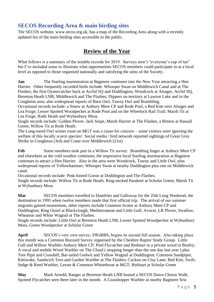### <span id="page-4-0"></span>**SECOS Recording Area & main birding sites**

The SECOS website, www.secos.org.uk, has a map of the Recording Area along with a recently updated list of the main birding sites accessible to the public.

### **Review of the Year**

<span id="page-4-1"></span>What follows is a summary of the notable records for 2019. Surveys aren't "everyone's cup of tea" but I've included some to illustrate what opportunities SECOS members could participate in at a local level as opposed to those organised nationally and satisfying the aims of the Society.

**Jan** The Starling murmuration at Bagmere continues into the New Year attracting a Hen Harrier. Other frequently recorded birds include: Whooper Swan on Middlewich Canal and at The Flashes; the first Oystercatcher back at Arclid SQ and Doddington; Woodcock at Alsager, Arclid SQ, Brereton Heath LNR, Middlewich and The Flashes; Dippers on territory at Lawton Lake and in the Congleton area; also widespread reports of Barn Owl, Tawny Owl and Brambling.

Occasional records include: a Smew at Astbury Mere CP and Rode Pool, a Red Kite over Alsager and Lea Forge; Lesser Spotted Woodpecker at Rode Pool and on the Wheelock Rail Trail; Marsh Tit at Lea Forge, Rode Heath and Wybunbury Moss.

Single records include: Golden Plover, Jack Snipe, Marsh Harrier at The Flashes, a Bittern at Hassall Green; Willow Tit at Rode Heath.

The Long-eared Owl winter roost on MGT was a cause for concern – some visitors were ignoring the welfare of this locally scarce species! Social media / bird network reported sightings of Great Grey Shrike in Congleton (3rd) and Crane over Middlewich (21st)

Feb Some members took part in a Willow Tit survey. Brambling linger at Astbury Mere CP and elsewhere as the cold weather continues; the impressive local Starling murmuration at Bagmere continues to attract a Hen Harrier. Also in the area were Woodcock, Tawny and Little Owl, plus widespread reports of Yellowhammer, Whooper Swan at nearby Doddington plus one on Middlewich canal.

Occasional records include: Pink-footed Goose at Doddington and The Flashes; Single records include: Willow Tit at Rode Heath; Ring-necked Parakeet at Scholar Green; Marsh Tit at Wybunbury Moss

**Mar** SECOS members travelled to Dumfries and Galloway for the 25th Long Weekend, the destination in 1995 when twelve members made that first official trip. The arrival of our summer migrants gained momentum, other reports include Common Scoter at Astbury Mere CP and Doddington; Ring Ouzel at Blackclough; Mediterranean and Little Gull, Avocet, LR Plover, Swallow, Wheatear and White Wagtail at The Flashes.

Single records include: Little Owl at Brereton Heath LNR, Lesser Spotted Woodpecker at Wybunbury Moss, Green Woodpecker at Scholar Green

**April** SECOS's very own survey, SWaBBS, begins its second full season. Also taking place this month was a Common Buzzard Survey organised by the Cheshire Raptor Study Group. Little Gull and Willow Warbler Astbury Mere CP; Pied Flycatcher and Redstart in a private wood in Bosley; A vocal and mobile Wood Warbler on The Cloud ( stopping longer than the one day last year ) plus Tree Pipit and Crossbill; Bar-tailed Godwit and Yellow Wagtail at Doddington; Common Sandpiper, Kittiwake, Sandwich Tern and Garden Warbler at The Flashes; Cuckoo on Clay Lane; Red Kite, Swift, Sedge & Reed Warbler, Lesser & Common Whitethroat at MGT; Redstart at Scholar Green

**May** Mark Arnold, Ranger at Brereton Heath LNR hosted a SECOS Dawn Chorus Walk. Spotted Flycatcher seen there later in the month. A Grasshopper Warbler at nearby Bagmere first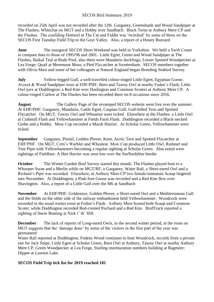#### SECOS Bird Summary 2019

recorded on 25th April was not recorded after the 12th. Garganey, Greenshank and Wood Sandpiper at The Flashes; Whinchat on MGT and a Hobby over Sandbach. Black Terns at Astbury Mere CP and the Flashes. The confiding Dotterel at The Cat and Fiddle was 'twitched' by some of those on the SECOS First Tuesday Field Trip to the Goyt Valley. Also, a report of a Honey Buzzard

**June** The inaugural SECOS Short Weekend was held in Yorkshire. We held a Swift Count to compare data to those of 1995/96 and 2001. Little Egret, Green and Wood Sandpiper at The Flashes, Baikal Teal at Rode Pool, also there were Mandarin ducklings; Lesser Spotted Woodpecker at Lea Forge; Quail at Meremoor Moss; a Pied Flycatcher at Swettenham. SECOS members together with Olivia Masi and some of her colleagues at Natural England began Breeding Seabird Survey.

**July** Yellow-legged Gull, a well-travelled colour-ringed Little Egret, Egyptian Goose, Avocet & Wood Sandpiper were at EHF/PHF; Barn and Tawny Owl at nearby Foden's Flash; Little Owl juvs at Doddington; a Red Kite over Haslington and Common Scoters at Astbury Mere CP. A colour-ringed Curlew at The Flashes has been recorded there on 8 occasions since 2016.

**August** The Gallery Page of the revamped SECOS website went live over the summer. At EHF/PHF: Garganey, Mandarin, Cattle Egret, Caspian Gull, Gull-billed Tern and Spotted Flycatcher. On MGT, Tawny Owl and Wheatear were ticked. Elsewhere at the Flashes: a Little Owl at Crabmill Flash and Yellowhammer at Fields Farm Flash. Doddington recorded a Black-necked Grebe and a Hobby. Mow Cop recorded a Marsh Harrier. At Scholar Green, Yellowhammer were ticked.

**September** Garganey, Pintail, Golden Plover, Knot, Arctic Tern and Spotted Flycatcher at EHF/PHF. On MGT; Cetti's Warbler and Wheatear. Mow Cop produced Little Owl, Redstart and Tree Pipit with Yellowhammers becoming a regular sighting at Scholar Green. Also noted were sightings of Fieldfare. A Hen Harrier was seen low over the Staffordshire border

**October** The Winter Garden Bird Survey started this month. The Flashes played host to a Whooper Swan and a Merlin while on MGT/RF, a Garganey, Water Rail, a Short-eared Owl and a Richard's Pipit was recorded. Elsewhere, at Astbury Mere CP two female/immature Scaup lingered into November. At Doddington, a Pink-foot Goose was recorded and a Red Kite flew over Shavington. Also, a report of a Little Gull over the M6 at Sandbach

**November** At EHF/PHF: Goldeneye, Golden Plover, a Short-eared Owl and a Mediterranean Gull and the fields on the other side of the railway embankment held Yellowhammer. Woodcock were recorded in the usual winter roost at Foden's Flash. Astbury Mere hosted both Scaup and Common Scoter, while Doddington recorded Red-crested Pochard and a Red Kite. BirdTrack reported a sighting of Snow Bunting at Nick i' th' Hill.

**December** The lack of reports of Long-eared Owls, in the second winter period, at the roost on MGT suggests that the 'damage done' by some of the visitors in the first part of the year was permanent!

Water Rail reported at Doddington; Fodens Wood continues to host Woodcock, records from a private site for Jack Snipe, Little Egret at Scholar Green, Barn Owl at Astbury, Tawny Owl at nearby Astbury Mere CP, Green Woodpecker at Lea Forge, Starling murmuration numbers building at Bagmere; Dipper at Lawton Lake.

#### **SECOS Field Trip tick list for 2019 reached 181**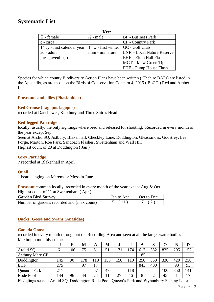#### <span id="page-6-0"></span>**Systematic List**

|                                | Key:                   |                            |
|--------------------------------|------------------------|----------------------------|
| $\mathcal{Q}$ - female         | $\delta$ - male        | <b>BP</b> - Business Park  |
| c - circa                      |                        | <b>CP</b> - Country Park   |
| $1st$ cy - first calendar year | $1st$ w - first winter | GC - Golf Club             |
| ad - adult                     | imm - immature         | LNR – Local Nature Reserve |
| $juv - juvenile(s)$            |                        | EHF - Elton Hall Flash     |
|                                |                        | MGT – Maw Green Tip        |
|                                |                        | PHF - Pump House Flash     |

Species for which county Biodiversity Action Plans have been written ( Chehire BAPs) are listed in the Appendix, as are those on the Birds of Conservation Concern 4, 2015 ( BoCC ) Red and Amber Lists.

#### **Pheasants and allies (Phasianidae)**

#### **Red Grouse (Lagopus lagopus)**

recorded at Danebower, Knotbury and Three Shires Head

#### **Red-legged Partridge**

locally, usually, the only sightings where bred and released for shooting. Recorded in every month of the year except Sep Seen at Arclid SQ, Astbury, Blakenhall, Checkley Lane, Doddington, Gleadsmoss, Goostrey, Lea Forge, Marton, Roe Park, Sandbach Flashes, Swettenham and Wall Hill Highest count of 20 at Doddington ( Jan )

#### **Grey Partridge**

7 recorded at Blakenhall in April

#### **Quail**

1 heard singing on Meremoor Moss in June

**Pheasant** common locally, recorded in every month of the year except Aug & Oct Highest count of 11 at Swettenham ( Apr )

| <b>Garden Bird Survey</b>                  | Jan to Apr | Oct to Dec |
|--------------------------------------------|------------|------------|
| Number of gardens recorded and (max count) |            |            |

#### <span id="page-6-1"></span>**Ducks; Geese and Swans (Anatidae)**

#### **Canada Goose**

recorded in every month throughout the Recording Area and seen at all the larger water bodies Maximum monthly count: -

|                        | J   |    | M   | A   | M   |     | J   | A   | S   |     | N   |     |
|------------------------|-----|----|-----|-----|-----|-----|-----|-----|-----|-----|-----|-----|
| Arclid SQ              | 61  | 06 | 75  | 61  | 51  | 171 | 174 | 617 | 552 | 825 | 205 | 157 |
| <b>Astbury Mere CP</b> |     |    |     |     |     |     |     | 185 |     |     |     |     |
| Doddington             | 145 | 90 | 178 | 110 | .53 | 150 | 110 | 250 | 350 | 330 | 420 | 250 |
| <b>EHF</b>             | 275 |    | 97  | 17  |     |     |     | 843 | 400 |     | 93  | 93  |
| Queen's Park           | 211 |    |     | 67  | 47  |     | 118 |     |     | 100 | 350 | 141 |
| Rode Pool              | 144 | 96 | 44  | 24  | 11  | 27  | 46  |     |     | 45  |     | 17  |

Fledglings seen at Arclid SQ, Doddington Rode Pool, Queen's Park and Wybunbury Fishing Lake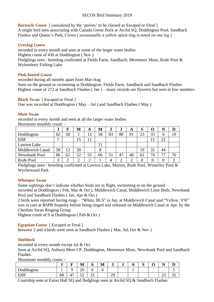#### SECOS Bird Summary 2019

**Barnacle Goose** [ considered by the 'purists' to be classed as Escaped or Feral ] A single bird seen associating with Canada Geese flock at Arclid SQ, Doddington Pool, Sandbach Flashes and Queen's Park, Crewe [ occasionally a yellow spiral ring is noted on one leg ]

#### **Greylag Goose**

recorded in every month and seen at some of the larger water bodies Highest count of 430 at Doddington ( Nov ) Fledglings seen / breeding confirmed at Fields Farm, Sandbach; Meremoor Moss; Rode Pool & Wybunbury Fishing Lake

#### **Pink-footed Goose**

recorded during all months apart from Mar-Aug

Seen on the ground or swimming at Doddington; Fields Farm, Sandbach and Sandbach Flashes Highest count of 272 at Sandbach Flashes (Jan) – many records are flyovers but seen in low numbers

#### **Black Swan** [ Escaped or Feral ]

One was recorded at Doddington ( May – Jul ) and Sandbach Flashes ( May )

#### **Mute Swan**

recorded in every month and seen at all the larger water bodies Maximum monthly count: -

|                         | J  | F  | М  | A  | M  | ., | J  | A  | S  |          |    | D  |
|-------------------------|----|----|----|----|----|----|----|----|----|----------|----|----|
| Doddington              | 62 | 58 |    | 13 | 58 | 83 | 88 | 81 | 23 | 33       | h  | 10 |
| <b>EHF</b>              | −  |    | 15 |    |    |    |    |    |    |          | 22 |    |
| Lawton Lake             |    |    |    |    | 11 |    |    |    |    |          |    |    |
| <b>Middlewich Canal</b> | 58 | 13 | 30 |    | 8  |    |    |    | 19 | 31       | 44 |    |
| Newsbank Pool           | 86 | 62 | 52 | 55 | 66 | 51 | 47 | 46 | 62 | 74       | 77 | 76 |
| Rode Pool               | ⌒  |    | ⌒  |    |    |    | ◠  |    |    | $\Omega$ |    |    |

Fledglings seen / breeding confirmed at Lawton Lake, Marton, Rode Pool, Winterley Pool & Wychewood Park

#### **Whooper Swan**

Some sightings don't indicate whether birds are in flight, swimming or on the ground –

recorded at Doddington ( Feb, Mar & Oct ), Middlewich Canal, Middlewich Lime Beds, Newsbank Pool and Sandbach Flashes ( Jan, Apr & Oct )

2 birds were reported having rings – "White, BLS" in Jan. at Middlewich Canal and "Yellow, V9J" was in care at RSPB Stapeley before being ringed and released on Middlewich Canal in Apr. by the Cheshire Swan Ringing Group

Highest count of 9 at Doddington ( Feb & Oct )

**Egyptian Goose** [ Escaped or Feral ]

between 2 and 4 birds were seen at Sandbach Flashes ( Mar, Jul, Oct & Nov )

#### **Shelduck**

recorded in every month except Jul & Oct

Seen at Arclid SQ, Astbury Mere CP, Doddington, Meremoor Moss, Newsbank Pool and Sandbach Flashes

Maximum monthly count: -

|                   | J  | ю                                 | . .<br><b>NI</b>               | $\mathbf{A}$ | <b>B</b> <i>B</i><br>M | ີ         | υ | $\mathbf{L}$ | $\sim$<br>ັ | ∼ | $\blacksquare$<br>- | ≖       |
|-------------------|----|-----------------------------------|--------------------------------|--------------|------------------------|-----------|---|--------------|-------------|---|---------------------|---------|
| Doddington        |    |                                   | nη<br>∠∪                       |              |                        |           |   |              |             |   |                     |         |
| <b>FHF</b><br>ப்ப | 68 | $\overline{ }$<br>$\Delta$<br>. . | $\overline{\phantom{a}}$<br>◡▱ | $\sim$<br>ິ  |                        | 20<br>ر ب |   |              |             |   | $\sim$<br>رے        | -<br>ັບ |

Courtship seen at Eaton Hall SQ and fledglings seen at Arclid SQ & Sandbach Flashes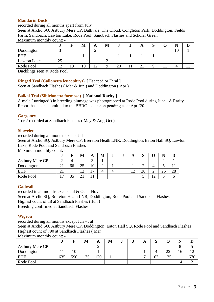#### **Mandarin Duck**

recorded during all months apart from July Seen at Arclid SQ; Astbury Mere CP; Bathvale; The Cloud; Congleton Park; Doddington; Fields Farm, Sandbach; Lawton Lake; Rode Pool; Sandbach Flashes and Scholar Green Maximum monthly count: -

|             | J           |          | M  | A               | M | e.           | IJ  | A                                  | $\sim$<br>៶ | $\blacksquare$       |        |
|-------------|-------------|----------|----|-----------------|---|--------------|-----|------------------------------------|-------------|----------------------|--------|
| Doddington  |             |          |    |                 |   |              |     |                                    |             | 1 <sub>0</sub><br>ιv |        |
| <b>EHF</b>  |             |          |    |                 |   |              |     |                                    |             |                      |        |
| Lawton Lake | 25          |          |    |                 |   |              |     |                                    |             |                      |        |
| Rode Pool   | $1^{\circ}$ | າາ<br>ιJ | 10 | $\sqrt{2}$<br>∸ |   | $\cap$<br>∠∪ | 1 T | $\sim$<br>$\overline{\phantom{a}}$ |             |                      | $\sim$ |

Ducklings seen at Rode Pool

**Ringed Teal (Callonetta leucophrys**) [ Escaped or Feral ]

Seen at Sandbach Flashes ( Mar & Jun ) and Doddington ( Apr )

#### **Baikal Teal (Sibirionetta formosa) [ National Rarity ]**

A male ( unringed ) in breeding plumage was photographed at Rode Pool during June. A Rarity Report has been submitted to the BBRC – decision pending as at Apr '20.

#### **Garganey**

1 or 2 recorded at Sandbach Flashes ( May & Aug-Oct )

#### **Shoveler**

recorded during all months except Jul

Seen at Arclid SQ, Astbury Mere CP, Brereton Heath LNR, Doddington, Eaton Hall SQ, Lawton Lake, Rode Pool and Sandbach Flashes

Maximum monthly count: -

|                        | J                |    | М        | A                     | М | w | υ | A                              | C<br>N |   | <b>BT</b> |    |
|------------------------|------------------|----|----------|-----------------------|---|---|---|--------------------------------|--------|---|-----------|----|
| <b>Astbury Mere CP</b> |                  |    |          |                       |   |   |   |                                |        |   |           |    |
| Doddington             | $\bigcap$ 1<br>◢ | 66 | 25       | 1 $\cap$<br>ιv        |   |   |   |                                |        |   | ັ         |    |
| <b>EHF</b>             | $\bigcap$ 1<br>◢ |    | ◠<br>⊥ ∠ | $\overline{ }$<br>. . |   |   |   | $1^{\wedge}$<br>$\blacksquare$ | 28     | ∽ | า<<br>ΖJ  | 28 |
| Rode Pool              | $\mathbf{r}$     |    |          |                       |   |   |   |                                |        |   |           |    |

#### **Gadwall**

recorded in all months except Jul & Oct – Nov Seen at Arclid SQ, Brereton Heath LNR, Doddington, Rode Pool and Sandbach Flashes Highest count of 18 at Sandbach Flashes ( Jun ) Breeding confirmed at Sandbach Flashes

#### **Wigeon**

recorded during all months except Jun – Jul

Seen at Arclid SQ, Astbury Mere CP, Doddington, Eaton Hall SQ, Rode Pool and Sandbach Flashes Highest count of 790 at Sandbach Flashes ( Mar )

|                        | IJ  |     | M           | A   | M | IJ | e. | A | ⌒<br>ມ                        |                   | <b>RT</b> |     |
|------------------------|-----|-----|-------------|-----|---|----|----|---|-------------------------------|-------------------|-----------|-----|
| <b>Astbury Mere CP</b> |     |     |             | ∽   |   |    |    |   |                               |                   |           |     |
| Doddington             |     | 10  |             |     |   |    |    |   |                               | 22                | 16.       |     |
| <b>EHF</b>             | 635 | 590 | 75<br>I 7 J | 120 |   |    |    | - | $\widehat{\phantom{a}}$<br>bΖ | $1 \cap F$<br>123 |           | 670 |
| Rode Pool              |     |     |             |     |   |    |    |   |                               |                   | 14        |     |

Maximum monthly count: -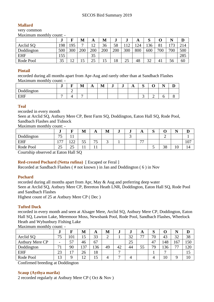#### **Mallard**

very common Maximum monthly count: -

|            | w   |                         | M   | A   | M   | $^{\bullet}$ | w   | A   | יט  |     |     | IJ  |
|------------|-----|-------------------------|-----|-----|-----|--------------|-----|-----|-----|-----|-----|-----|
| Arclid SQ  | 198 | 195                     | −   | 12  | 36  | 58           | 12  | 24  | 136 | 81  |     | 214 |
| Doddington | 500 | 300                     | 200 | 200 | 200 | 200          | 300 | 800 | 600 | 700 | 700 | 500 |
| <b>EHF</b> | 155 |                         |     | 35  |     |              |     |     |     |     |     | 285 |
| Rode Pool  | 35  | $\sim$<br>┸ <del></del> | ⊥ັ  | 25  | 1 J | 18           | 25  | 48  | 32  | 41  | ჂႩ  | 60  |

#### **Pintail**

recorded during all months apart from Apr-Aug and rarely other than at Sandbach Flashes Maximum monthly count: -

|                        | -e. | - | . .<br>W<br>TAT. | д<br>$\overline{A}$ | . .<br>M | J | J | $\mathbf{L}$ | Ë<br>ັ | ີ | $\sim$ $\sim$<br>. . |  |
|------------------------|-----|---|------------------|---------------------|----------|---|---|--------------|--------|---|----------------------|--|
| Doddington             |     | ∼ |                  |                     |          |   |   |              |        |   |                      |  |
| <b>EUE</b><br>н<br>--- | -   |   |                  |                     |          |   |   |              |        |   |                      |  |

#### **Teal**

recorded in every month

Seen at Arclid SQ, Astbury Mere CP, Bent Farm SQ, Doddington, Eaton Hall SQ, Rode Pool, Sandbach Flashes and Tidnock

Maximum monthly count: -

|            | u                    |                | M            | A                              | M | ÷ | e. | A              | $\sim$<br>ມ |    | -- | D<br>IJ |
|------------|----------------------|----------------|--------------|--------------------------------|---|---|----|----------------|-------------|----|----|---------|
| Doddington | ワミ<br>ر ،            |                |              |                                |   |   | ້  |                |             | ∽  |    |         |
| <b>EHF</b> | $\overline{a}$<br>11 | $\cap$<br>+ ∠∠ | 55           | $\overline{\phantom{a}}$<br>ر, | ັ |   |    | $\overline{a}$ |             |    |    | 107     |
| Rode Pool  | 25                   | つぐ<br>ں ک      | $\mathbf{r}$ |                                |   |   |    |                | ັ           | 38 | 10 |         |

Courtship observed at Eaton Hall SQ

#### **Red-crested Pochard (Netta rufina)** [ Escaped or Feral ]

Recorded at Sandbach Flashes ( # not known ) in Jan and Doddington ( 6 ) in Nov

#### **Pochard**

recorded during all months apart from Apr, May & Aug and preferring deep water Seen at Arclid SQ, Astbury Mere CP, Brereton Heath LNR, Doddington, Eaton Hall SQ, Rode Pool and Sandbach Flashes

Highest count of 25 at Astbury Mere CP ( Dec )

#### **Tufted Duck**

recorded in every month and seen at Alsager Mere, Arclid SQ, Astbury Mere CP, Doddington, Eaton Hall SQ, Lawton Lake, Meremoor Moss, Newsbank Pool, Rode Pool, Sandbach Flashes, Wheelock Heath and Wybunbury Fishing Lake

Maximum monthly count: -

|                        | u  |                | M   | A   | M  | - e.b | IJ | A  | כו |                |     | D   |
|------------------------|----|----------------|-----|-----|----|-------|----|----|----|----------------|-----|-----|
| Arclid SQ              | 75 | 101            | 15  | 33  | ⌒  |       | 32 | 77 | 70 | 43             | 32  | 38  |
| <b>Astbury Mere CP</b> | -  | 57             | 46  | 67  |    |       | 25 |    | 47 | 148            | 167 | 150 |
| Doddington             | 71 | 90             | 137 | 136 | 49 | 42    | 44 | 55 | 79 | 136            | 77  | 120 |
| <b>EHF</b>             | 23 | $\blacksquare$ | 26  | 18  |    | −     |    |    |    | $\overline{ }$ |     | IJ  |
| Rode Pool              | 13 |                | 12  | IJ  | 4  |       | 4  |    |    | 10             |     | 10  |

Confirmed breeding at Doddington

#### **Scaup (Aythya marila)**

2 recorded regularly at Astbury Mere CP ( Oct & Nov )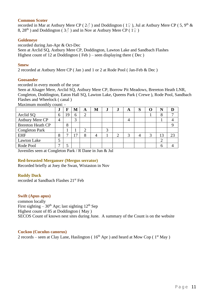#### **Common Scoter**

recorded in Mar at Astbury Mere CP ( $2\textcircled{3}$ ) and Doddington ( $1\textcircled{2}$ ), Jul at Astbury Mere CP (5, 9<sup>th</sup> & 8, 28<sup>th</sup>) and Doddington (3 $\circ$ ) and in Nov at Astbury Mere CP (1 $\circ$ )

#### **Goldeneye**

recorded during Jan-Apr & Oct-Dec Seen at Arclid SQ, Astbury Mere CP, Doddington, Lawton Lake and Sandbach Flashes Highest count of 12 at Doddington ( Feb ) – seen displaying there ( Dec )

#### **Smew**

2 recorded at Astbury Mere CP ( Jan ) and 1 or 2 at Rode Pool ( Jan-Feb & Dec )

#### **Goosander**

recorded in every month of the year

Seen at Alsager Mere, Arclid SQ, Astbury Mere CP, Borrow Pit Meadows, Brereton Heath LNR, Congleton, Doddington, Eaton Hall SQ, Lawton Lake, Queens Park ( Crewe ), Rode Pool, Sandbach Flashes and Wheelock ( canal ) Maximum monthly count: -

| <b>EVIDENTIFIQUE INTOITATE Y COUNT.</b> |                |    |   |   |   |   |           |   |          |     |    |    |
|-----------------------------------------|----------------|----|---|---|---|---|-----------|---|----------|-----|----|----|
|                                         | d              |    | M | A | M | J | $\cdot$ . | A | c<br>IJ. | ( ) |    |    |
| Arclid SQ                               | 6              | 19 | 6 | ⌒ |   |   |           |   |          |     |    |    |
| <b>Astbury Mere CP</b>                  | $\overline{4}$ |    | 3 |   |   |   |           | 4 |          |     |    |    |
| <b>Brereton Heath CP</b>                |                | 8  |   |   |   |   |           |   |          |     |    |    |
| <b>Congleton Park</b>                   |                |    |   |   |   | ⌒ |           |   |          |     |    |    |
| <b>EHF</b>                              | 8              |    |   | 8 | 4 |   | ി         | 3 |          | 3   | 13 | 23 |
| Lawton Lake                             | 5              |    |   |   |   |   |           |   |          |     |    |    |
| Rode Pool                               |                |    |   |   |   |   |           |   |          |     |    |    |
|                                         |                |    |   |   |   |   |           |   |          |     |    |    |

Juveniles seen at Congleton Park / R Dane in Jun & Jul

#### **Red-breasted Merganser (Mergus serrator)**

Recorded briefly at Joey the Swan, Wistaston in Nov

#### **Ruddy Duck**

recorded at Sandbach Flashes 21st Feb

#### <span id="page-10-0"></span>**Swift (Apus apus)**

common locally First sighting  $-30<sup>th</sup>$  Apr; last sighting  $12<sup>th</sup>$  Sep Highest count of 85 at Doddington ( May ) SECOS Count of known nest sites during June. A summary of the Count is on the website

#### <span id="page-10-1"></span>**Cuckoo (Cuculus canorus)**

2 records – seen at Clay Lane, Haslington ( $16<sup>th</sup>$  Apr) and heard at Mow Cop ( $1<sup>st</sup>$  May)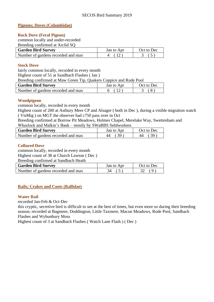#### **Pigeons; Doves (Columbidae)**

#### **Rock Dove (Feral Pigeon)**

common locally and under-recorded Breeding confirmed at Arclid SQ

| <b>Garden Bird Survey</b>          | Jan to Apr | Oct to Dec |
|------------------------------------|------------|------------|
| Number of gardens recorded and max | (12)       |            |

#### **Stock Dove**

fairly common locally, recorded in every month Highest count of 51 at Sandbach Flashes ( Jan ) Breeding confirmed at Maw Green Tip, Quakers Coppice and Rode Pool

| <b>Garden Bird Survey</b>          | Jan to Apr | Oct to Dec |
|------------------------------------|------------|------------|
| Number of gardens recorded and max | 6 (12)     |            |

#### **Woodpigeon**

common locally, recorded in every month

Highest count of 200 at Astbury Mere CP and Alsager ( both in Dec ), during a visible migration watch ( VisMig ) on MGT the observer had c750 pass over in Oct

Breeding confirmed at Borrow Pit Meadows, Holmes Chapel, Merelake Way, Swettenham and Wheelock and Malkin's Bank – mostly by SWaBBS fieldworkers

| <b>Garden Bird Survey</b>          | Jan to Apr | Oct to Dec |  |  |  |
|------------------------------------|------------|------------|--|--|--|
| Number of gardens recorded and max | 44 (39)    | 44 (39)    |  |  |  |

#### **Collared Dove**

common locally, recorded in every month

Highest count of 38 at Church Lawton ( Dec )

Breeding confirmed at Sandbach Heath

| <b>Garden Bird Survey</b>          | Jan to Apr | Oct to Dec |
|------------------------------------|------------|------------|
| Number of gardens recorded and max | 34         |            |

#### <span id="page-11-0"></span>**Rails; Crakes and Coots (Rallidae)**

#### **Water Rail**

recorded Jan-Feb & Oct-Dec

this cryptic, secretive bird is difficult to see at the best of times, but even more so during their breeding season; recorded at Bagmere, Doddington, Little Taxmere, Macon Meadows, Rode Pool, Sandbach Flashes and Wybunbury Moss

Highest count of 3 at Sandbach Flashes ( Watch Lane Flash ) ( Dec )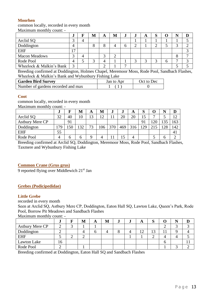#### **Moorhen**

common locally, recorded in every month Maximum monthly count: -

|                          | J             | F | M | A | M      | J | J      | A |   | N       |  |
|--------------------------|---------------|---|---|---|--------|---|--------|---|---|---------|--|
| Arclid SQ                | ⌒<br>◡        | 4 |   |   |        |   |        |   |   |         |  |
| Doddington               | 4             |   | 8 | Ω | 4      | 6 | ി<br>∠ |   |   | ⌒       |  |
| <b>EHF</b>               | $\mathcal{I}$ |   |   |   |        |   |        |   |   |         |  |
| <b>Macon Meadows</b>     | ⌒<br>ر        | 4 |   |   | ◠<br>∠ |   |        |   |   | $\circ$ |  |
| Rode Pool                | 4             |   | 2 |   |        |   |        | ◠ | n | −       |  |
| Wheelock & Malkin's Bank | 3             |   |   |   |        | − |        |   |   |         |  |

Breeding confirmed at Doddington, Holmes Chapel, Meremoor Moss, Rode Pool, Sandbach Flashes, Wheelock & Malkin's Bank and Wybunbury Fishing Lake

| <b>Garden Bird Survey</b>          | Jan to Apr | Oct to Dec |
|------------------------------------|------------|------------|
| Number of gardens recorded and max |            |            |

#### **Coot**

common locally, recorded in every month Maximum monthly count: -

|                        | ٠.  | F   | M  | A  | M                   | J         | ۰J  | A   | Q<br>D |              |    | D   |
|------------------------|-----|-----|----|----|---------------------|-----------|-----|-----|--------|--------------|----|-----|
| Arclid SQ              | 32  | 40  | 10 | 13 | 1 <sub>2</sub><br>∽ | l 1<br>ΙI | 20  | 20  | 15     | $\mathbf{r}$ | J  | 12  |
| <b>Astbury Mere CP</b> |     | 91  |    |    |                     |           |     |     | 91     | 120          | 35 | 163 |
| Doddington             | .79 | .50 | 32 | 73 | 06                  | 370       | 469 | 316 | 29     | 215          | 28 | 142 |
| <b>EHF</b>             | 55  |     |    |    |                     |           |     |     |        |              |    | 41  |
| Rode Pool              |     | O   |    |    |                     | 11        |     |     |        |              |    |     |

Breeding confirmed at Arclid SQ, Doddington, Meremoor Moss, Rode Pool, Sandbach Flashes, Taxmere and Wybunbury Fishing Lake

#### <span id="page-12-0"></span>**Common Crane (Grus grus)**

9 reported flying over Middlewich 21st Jan

#### <span id="page-12-1"></span>**Grebes (Podicipedidae)**

#### **Little Grebe**

recorded in every month

Seen at Arclid SQ, Astbury Mere CP, Doddington, Eaton Hall SQ, Lawton Lake, Queen's Park, Rode Pool, Borrow Pit Meadows and Sandbach Flashes

Maximum monthly count: -

|                        | IJ | M | A | М | w | e. | A               | י                 |   |  |
|------------------------|----|---|---|---|---|----|-----------------|-------------------|---|--|
| <b>Astbury Mere CP</b> |    |   |   |   |   |    |                 |                   | ∸ |  |
| Doddington             | ↩  |   |   |   |   |    | $1\bigcap$<br>∸ | $1^{\circ}$<br>⊥⊃ |   |  |
| <b>EHF</b>             |    |   |   |   |   |    |                 | ∸                 |   |  |
| Lawton Lake            | 16 |   |   |   |   |    |                 |                   |   |  |
| Rode Pool              | ∸  |   |   |   |   |    |                 |                   |   |  |

Breeding confirmed at Doddington, Eaton Hall SQ and Sandbach Flashes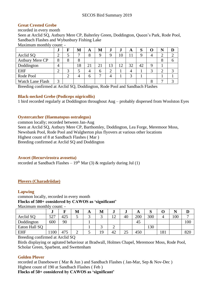#### SECOS Bird Summary 2019

#### **Great Crested Grebe**

recorded in every month

Seen at Arclid SQ, Astbury Mere CP, Balterley Green, Doddington, Queen's Park, Rode Pool, Sandbach Flashes and Wybunbury Fishing Lake

Maximum monthly count: -

|                         | J | F | M  | A            | M  | J  | ٠J | A  | O<br>IJ |   |   |  |
|-------------------------|---|---|----|--------------|----|----|----|----|---------|---|---|--|
| Arclid SQ               |   |   |    | Ω<br>ð       |    | Q  | 10 |    | 9       |   |   |  |
| <b>Astbury Mere CP</b>  | 8 | Õ | Ω  |              |    |    |    |    |         |   | Õ |  |
| Doddington              |   |   | 18 |              | 21 | 13 | 12 | 32 | 42      | O |   |  |
| <b>EHF</b>              |   |   |    | 4            |    |    |    |    |         |   |   |  |
| Rode Pool               |   |   |    | <sub>0</sub> |    |    |    |    |         |   |   |  |
| <b>Watch Lane Flash</b> | 3 |   |    |              |    |    |    |    |         | ∩ |   |  |

Breeding confirmed at Arclid SQ, Doddington, Rode Pool and Sandbach Flashes

#### **Black-necked Grebe (Podiceps nigricollis)**

1 bird recorded regularly at Doddington throughout Aug – probably dispersed from Woolston Eyes

#### <span id="page-13-0"></span>**Oystercatcher (Haematopus ostralegus)**

common locally; recorded between Jan-Aug Seen at Arclid SQ, Astbury Mere CP, Barthomley, Doddington, Lea Forge, Meremoor Moss, Newsbank Pool, Rode Pool and Walgherton plus flyovers at various other locations Highest count of 8 at Sandbach Flashes ( Mar ) Breeding confirmed at Arclid SQ and Doddington

#### <span id="page-13-1"></span>**Avocet (Recurvirostra avosetta)**

recorded at Sandbach Flashes –  $19<sup>th</sup>$  Mar (3) & regularly during Jul (1)

#### <span id="page-13-2"></span>**Plovers (Charadriidae)**

#### **Lapwing**

common locally, recorded in every month **Flocks of 500+ considered by CAWOS as 'significant'**

Maximum monthly count: -

|               | - e.D |     | М | A      | M  | e.                  | IJ | A   | ມ   |     |     |     |
|---------------|-------|-----|---|--------|----|---------------------|----|-----|-----|-----|-----|-----|
| Arclid SO     | 527   | 425 |   | ⌒<br>ັ |    | 1 <sub>2</sub><br>∸ | 40 | 200 | 300 |     | 100 | -   |
| Doddington    | 600   | 90  |   |        |    |                     |    | 45  |     |     |     | 100 |
| Eaton Hall SQ |       |     |   |        |    | ∸                   |    |     | 130 |     |     |     |
| <b>EHF</b>    | 100   | 475 |   | ັ      | 19 | 42                  | 25 | 450 |     | 181 |     | 820 |

Breeding confirmed at Arclid SQ

Birds displaying or agitated behaviour at Bradwall, Holmes Chapel, Meremoor Moss, Rode Pool, Scholar Green, Sparbent, and Swettenham

#### **Golden Plover**

recorded at Danebower ( Mar & Jun ) and Sandbach Flashes ( Jan-Mar, Sep & Nov-Dec ) Highest count of 190 at Sandbach Flashes ( Feb )

**Flocks of 50+ considered by CAWOS as 'significant'**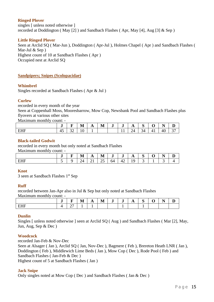#### **Ringed Plover**

singles [ unless noted otherwise ] recorded at Doddington (May [2]) and Sandbach Flashes (Apr, May [4], Aug [3]  $&$  Sep)

#### **Little Ringed Plover**

Seen at Arclid SQ ( Mar-Jun ), Doddington ( Apr-Jul ), Holmes Chapel ( Apr ) and Sandbach Flashes ( Mar-Jul & Sep ) Highest count of 10 at Sandbach Flashes ( Apr ) Occupied nest at Arclid SQ

#### <span id="page-14-0"></span>**Sandpipers; Snipes (Scolopacidae)**

#### **Whimbrel**

Singles recorded at Sandbach Flashes ( Apr & Jul )

#### **Curlew**

recorded in every month of the year

Seen at Coppenhall Moss, Mooresbarrow, Mow Cop, Newsbank Pool and Sandbach Flashes plus flyovers at various other sites

Maximum monthly count: -

|            | w        | _ | <b>R</b> <i>E</i><br>M | –<br>$\overline{1}$ | - -<br>M<br>TAT | -<br>J | e   | л<br>л | $\sim$<br>ມ |          | . –<br>--     |         |
|------------|----------|---|------------------------|---------------------|-----------------|--------|-----|--------|-------------|----------|---------------|---------|
| EHE<br>--- | -<br>$+$ | ◡ | 10                     |                     |                 |        | . . | Z      | ำ△<br>ັ     | 4<br>. . | $\sim$<br>-40 | ~~<br>ັ |

#### **Black-tailed Godwit**

recorded in every month but only noted at Sandbach Flashes

Maximum monthly count: -

|                   | υ | - | . .<br>M         | A              | M  | -  | $\overline{\phantom{a}}$<br>υ | A                 | ∼<br>ັ | $ -$<br>п. | IJ |
|-------------------|---|---|------------------|----------------|----|----|-------------------------------|-------------------|--------|------------|----|
| EHE<br><u>Lii</u> | ັ |   | '⊿<br><u>.</u> . | $\overline{ }$ | ر_ | 64 | ╭<br>4<br>┱∠                  | $\sim$<br>u<br>., | ت      | ້          |    |

#### **Knot**

3 seen at Sandbach Flashes 1st Sep

#### **Ruff**

recorded between Jan-Apr also in Jul & Sep but only noted at Sandbach Flashes Maximum monthly count: -

|         | -<br>$\bullet$ | -        | . .<br>ш<br>. . | $\overline{1}$ | --<br>IV | $\overline{\phantom{a}}$<br>$\bullet$ | $\cdot$ | o | $\sim$<br>~ | - - |  |
|---------|----------------|----------|-----------------|----------------|----------|---------------------------------------|---------|---|-------------|-----|--|
| -<br>-- |                | <b>←</b> |                 |                |          |                                       |         |   |             |     |  |

#### **Dunlin**

Singles [ unless noted otherwise ] seen at Arclid SQ ( Aug ) and Sandbach Flashes ( Mar [2], May, Jun, Aug, Sep & Dec )

#### **Woodcock**

recorded Jan-Feb & Nov-Dec

Seen at Alsager (Jan), Arclid SQ (Jan, Nov-Dec), Bagmere (Feb), Brereton Heath LNR (Jan), Doddington ( Feb ), Middlewich Lime Beds ( Jan ), Mow Cop ( Dec ), Rode Pool ( Feb ) and Sandbach Flashes ( Jan-Feb & Dec )

Highest count of 5 at Sandbach Flashes ( Jan )

#### **Jack Snipe**

Only singles noted at Mow Cop ( Dec ) and Sandbach Flashes ( Jan & Dec )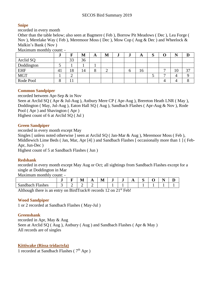#### **Snipe**

recorded in every month

Other than the table below; also seen at Bagmere ( Feb ), Borrow Pit Meadows ( Dec ), Lea Forge ( Nov ), Merelake Way ( Feb ), Meremoor Moss ( Dec ), Mow Cop ( Aug & Dec ) and Wheelock & Malkin's Bank ( Nov )

Maximum monthly count: -

|            | J      |          | M  | A | M | IJ | w | A  | ົ<br>N |    |             |
|------------|--------|----------|----|---|---|----|---|----|--------|----|-------------|
| Arclid SQ  |        | 22<br>JJ | 36 |   |   |    |   |    |        |    |             |
| Doddington |        |          |    |   |   |    |   |    |        |    |             |
| <b>EHF</b> | 41     | 18       | 14 | ω | ∠ |    |   | 16 |        | 10 | $\sim$<br>ັ |
| <b>MGT</b> |        | ↩        |    |   |   |    |   |    |        |    |             |
| Rode Pool  | Ω<br>O |          |    |   |   |    |   |    |        |    |             |

#### **Common Sandpiper**

recorded between Apr-Sep & in Nov

Seen at Arclid SQ (Apr & Jul-Aug), Astbury Mere CP (Apr-Aug), Brereton Heath LNR (May), Doddington ( May, Jul-Aug ), Eaton Hall SQ ( Aug ), Sandbach Flashes ( Apr-Aug & Nov ), Rode Pool ( Apr ) and Shavington ( Apr )

Highest count of 6 at Arclid SQ ( Jul )

#### **Green Sandpiper**

recorded in every month except May

Singles [unless noted otherwise ] seen at Arclid SQ (Jan-Mar & Aug), Meremoor Moss (Feb), Middlewich Lime Beds (Jan, Mar, Apr [4]) and Sandbach Flashes [ occasionally more than 1 ] ( Feb-Apr, Jun-Dec )

Highest count of 5 at Sandbach Flashes ( Jun )

#### **Redshank**

recorded in every month except May Aug or Oct; all sightings from Sandbach Flashes except for a single at Doddington in Mar

Maximum monthly count: -

|                                                 | - 1 | - | . .<br>IVI | $\mathbf{L}$ | <b>TAT</b> | J | ۰                                                                                                               | л<br>ᅟᅩ | $\sim$<br>ັ | . –<br>- | -<br>- |
|-------------------------------------------------|-----|---|------------|--------------|------------|---|-----------------------------------------------------------------------------------------------------------------|---------|-------------|----------|--------|
| $\sim$<br>---<br>Sar<br>lhoob.<br>⊕aches<br>⊥∟∪ | ້   |   | ∼          | ∽            |            |   |                                                                                                                 |         |             |          |        |
|                                                 |     |   |            |              |            |   | the contract of the contract of the contract of the contract of the contract of the contract of the contract of |         |             |          |        |

Although there is an entry on BirdTrack® records 12 on  $21<sup>st</sup>$  Feb!

#### **Wood Sandpiper**

1 or 2 recorded at Sandbach Flashes ( May-Jul )

#### **Greenshank**

recorded in Apr, May & Aug Seen at Arclid SQ ( Aug ), Astbury ( Aug ) and Sandbach Flashes ( Apr & May ) All records are of singles

#### <span id="page-15-0"></span>**Kittiwake (Rissa tridactyla)**

1 recorded at Sandbach Flashes (7<sup>th</sup> Apr)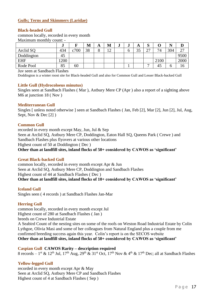#### **Gulls; Terns and Skimmers (Laridae)**

#### **Black-headed Gull**

common locally, recorded in every month Maximum monthly count: -

|            | w   |      | M  | A | M                 | J | J | A        | ົ<br>ື         | ບ    | N   | D    |
|------------|-----|------|----|---|-------------------|---|---|----------|----------------|------|-----|------|
| Arclid SQ  | 434 | c700 | 38 |   | $1^{\circ}$<br>⊥∠ |   | O | 25<br>JJ | $\cap$<br>↩    | 74   | 304 | 27   |
| Doddington | 45  |      |    |   |                   |   |   |          |                |      |     | 9500 |
| <b>EHF</b> | 200 |      |    |   |                   |   |   |          |                | 2100 |     | 2000 |
| Rode Pool  | 85  | 60   |    |   |                   |   |   |          | $\overline{ }$ | 45   |     | 16   |

Juv seen at Sandbach Flashes

Doddington is a winter roost site for Black-headed Gull and also for Common Gull and Lesser Black-backed Gull

#### **Little Gull (Hydrocoloeus minutus)**

Singles seen at Sandbach Flashes ( Mar ), Astbury Mere CP (Apr ) also a report of a sighting above M6 at junction 18 ( Nov )

#### **Mediterranean Gull**

Singles [ unless noted otherwise ] seen at Sandbach Flashes ( Jan, Feb [2], Mar [2], Jun [2], Jul, Aug, Sept, Nov & Dec [2] )

#### **Common Gull**

recorded in every month except May, Jun, Jul & Sep Seen at Arclid SQ, Astbury Mere CP, Doddington, Eaton Hall SQ, Queens Park ( Crewe ) and Sandbach Flashes plus flyovers at various other locations Highest count of 50 at Doddington ( Dec )

**Other than at landfill sites, inland flocks of 50+ considered by CAWOS as 'significant'**

#### **Great Black-backed Gull**

common locally, recorded in every month except Apr & Jun Seen at Arclid SQ, Astbury Mere CP, Doddington and Sandbach Flashes Highest count of 44 at Sandbach Flashes ( Dec ) **Other than at landfill sites, inland flocks of 10+ considered by CAWOS as 'significant'**

#### **Iceland Gull**

Singles seen ( 4 records ) at Sandbach Flashes Jan-Mar

#### **Herring Gull**

common locally, recorded in every month except Jul Highest count of 280 at Sandbach Flashes ( Jan ) breeds on Crewe Industrial Estate A Seabird Count of the nesting sites on some of the roofs on Weston Road Industrial Estate by Colin

Lythgoe, Olivia Masi and some of her colleagues from Natural England plus a couple from me confirmed breeding success again this year. Colin's report is on the SECOS website **Other than at landfill sites, inland flocks of 50+ considered by CAWOS as 'significant'**

**Caspian Gull CAWOS Rarity – description required** 8 records – 1<sup>st</sup> & 12<sup>th</sup> Jul, 17<sup>th</sup> Aug, 29<sup>th</sup> & 31<sup>st</sup> Oct, 17<sup>th</sup> Nov & 4<sup>th</sup> & 17<sup>th</sup> Dec; all at Sandbach Flashes

#### **Yellow-legged Gull**

recorded in every month except Apr & May Seen at Arclid SQ, Astbury Mere CP and Sandbach Flashes Highest count of 4 at Sandbach Flashes ( Sep )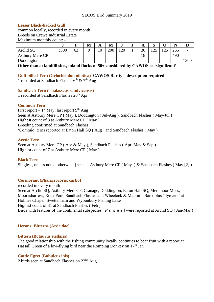#### SECOS Bird Summary 2019

#### **Lesser Black-backed Gull**

common locally, recorded in every month Breeds on Crewe Industrial Estate Maximum monthly count: -

|                        | e.   |    | M | A               | M   | J  | u | A  | C                |                                      |     | ע    |
|------------------------|------|----|---|-----------------|-----|----|---|----|------------------|--------------------------------------|-----|------|
| Arclid SQ              | c300 | 62 |   | $\Delta$<br>1 Ο | 200 | 20 |   | 30 | $\bigcap$<br>⊥∠J | $\mathbf{1} \cap \mathbf{r}$<br>⊥ ∠J | 265 | -    |
| <b>Astbury Mere CP</b> |      |    |   |                 |     |    |   | 18 |                  |                                      | 490 |      |
| Doddington             |      |    |   |                 |     |    |   |    |                  |                                      |     | 1300 |

**Other than at landfill sites, inland flocks of 50+ considered by CAWOS as 'significant'**

**Gull-billed Tern (Gelochelidon nilotica) CAWOS Rarity – description required**

1 recorded at Sandbach Flashes  $6^{th}$  &  $7^{th}$  Aug

#### **Sandwich Tern (Thalasseus sandvicensis)**

1 recorded at Sandbach Flashes 20th Apr

#### **Common Tern**

First report –  $1<sup>st</sup>$  May; last report 9<sup>th</sup> Aug Seen at Astbury Mere CP ( May ), Doddington ( Jul-Aug ), Sandbach Flashes ( May-Jul ) Highest count of 8 at Astbury Mere CP ( May ) Breeding confirmed at Sandbach Flashes 'Commic' terns reported at Eaton Hall SQ ( Aug ) and Sandbach Flashes ( May )

#### **Arctic Tern**

Seen at Astbury Mere CP (Apr & May), Sandbach Flashes (Apr, May & Sep) Highest count of 7 at Astbury Mere CP ( May )

#### **Black Tern**

Singles [ unless noted otherwise ] seen at Astbury Mere CP ( May ) & Sandbach Flashes ( May [2] )

#### <span id="page-17-0"></span>**Cormorant (Phalacrocorax carbo)**

recorded in every month Seen at Arclid SQ, Astbury Mere CP, Cranage, Doddington, Eaton Hall SQ, Meremoor Moss, Mooresbarrow, Rode Pool, Sandbach Flashes and Wheelock & Malkin's Bank plus 'flyovers' at Holmes Chapel, Swettenham and Wybunbury Fishing Lake Highest count of 31 at Sandbach Flashes ( Feb ) Birds with features of the continental subspecies [ *P sinensis* ] were reported at Arclid SQ ( Jan-Mar )

#### <span id="page-17-1"></span>**Herons; Bitterns (Ardeidae)**

#### **Bittern (Botaurus stellaris)**

The good relationship with the fishing community locally continues to bear fruit with a report at Hassall Green of a low-flying bird near the Romping Donkey on  $17<sup>th</sup>$  Jan

#### **Cattle Egret (Bubulcus ibis)**

2 birds seen at Sandbach Flashes on 22nd Aug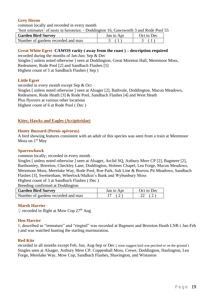#### **Grey Heron**

common locally and recorded in every month

'best estimates' of nests in heronries: - Doddington 16, Gawsworth 3 and Rode Pool 55

| <b>Garden Bird Survey</b>          | Jan to Apr | Oct to Dec |
|------------------------------------|------------|------------|
| Number of gardens recorded and max |            |            |

#### **Great White Egret CAWOS rarity ( away from the coast ) – description required** recorded during the months of Jan-Jun; Sep & Dec

Singles [ unless noted otherwise ] seen at Doddington, Great Moreton Hall, Meremoor Moss, Redesmere, Rode Pool [2] and Sandbach Flashes [5] Highest count of 5 at Sandbach Flashes ( Sep )

#### **Little Egret**

recorded in every month except Sep & Oct Singles [ unless noted otherwise ] seen at Alsager [2], Bathvale, Doddington, Macon Meadows, Redesmere, Rode Heath [3] & Rode Pool, Sandbach Flashes [4] and West Heath Plus flyovers at various other locations Highest count of 6 at Rode Pool ( Dec )

#### <span id="page-18-0"></span>**Kites; Hawks and Eagles (Accipitridae)**

#### **Honey Buzzard (Pernis apivorus)**

A bird showing features consistent with an adult of this species was seen from a train at Meremoor Moss on  $1<sup>st</sup>$  May

#### **Sparrowhawk**

common locally; recorded in every month

Singles [ unless noted otherwise ] seen at Alsager, Arclid SQ, Astbury Mere CP [2], Bagmere [2], Barthomley, Brereton, Checkley Lane, Doddington, Holmes Chapel, Lea Forge, Macon Meadows, Meremoor Moss, Merelake Way, Rode Pool, Roe Park, Salt Line & Borrow Pit Meadows, Sandbach Flashes [3], Swettenham, Wheelock/Malkin's Bank and Wybunbury Moss Highest count of 3 at Sandbach Flashes ( Dec )

Breeding confirmed at Doddington

| <b>Garden Bird Survey</b>          | Jan to Apr | Oct to Dec |
|------------------------------------|------------|------------|
| Number of gardens recorded and max |            |            |

#### **Marsh Harrier**

 $\circ$  recorded in flight at Mow Cop 27<sup>th</sup> Aug

#### **Hen Harrier**

1, described as "immature" and "ringtail" was recorded at Bagmere and Brereton Heath LNR ( Jan-Feb ) and was watched hunting the starling murmuration.

#### **Red Kite**

recorded in all months except Feb, Jun, Aug-Sep or Dec ( none suggest bird was perched or on the ground ) Singles seen at Alsager, Astbury Mere CP, Coppenhall Moss, Crewe, Doddington, Haslington, Lea Forge, Merelake Way, Mow Cop, Sandbach Flashes, Shavington, and Wistaston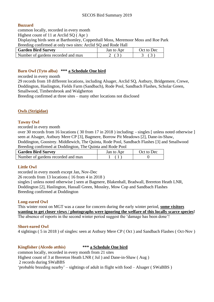#### **Buzzard**

common locally, recorded in every month

Highest count of 11 at Arclid SQ ( Apr )

Displaying birds seen at Barthomley, Coppenhall Moss, Meremoor Moss and Roe Park Breeding confirmed at only two sites: Arclid SQ and Rode Hall

| <b>Garden Bird Survey</b>          | <b>Jan to Apr</b> | Oct to Dec |
|------------------------------------|-------------------|------------|
| Number of gardens recorded and max | 2(3)              |            |

#### <span id="page-19-0"></span>**Barn Owl (Tyto alba) \*\*\* a Schedule One bird**

recorded in every month

29 records from 18 different locations, including Alsager, Arclid SQ, Astbury, Bridgemere, Crewe, Doddington, Haslington, Fields Farm (Sandbach), Rode Pool, Sandbach Flashes, Scholar Green, Smallwood, Timbersbrook and Walgherton

Breeding confirmed at three sites – many other locations not disclosed

#### **Owls (Strigidae)**

#### **Tawny Owl**

recorded in every month

over 30 records from 16 locations ( 30 from 17 in 2018 ) including: - singles [ unless noted otherwise ] seen at Alsager, Astbury Mere CP [3], Bagmere, Borrow Pit Meadows [2], Dane-in-Shaw,

Doddington, Goostrey. Middlewich, The Quinta, Rode Pool, Sandbach Flashes [3] and Smallwood Breeding confirmed at Doddington, The Quinta and Rode Pool

| <b>Garden Bird Survey</b>          | Jan to Apr | Oct to Dec |
|------------------------------------|------------|------------|
| Number of gardens recorded and max |            |            |

#### **Little Owl**

recorded in every month except Jan, Nov-Dec

26 records from 13 locations ( 16 from 4 in 2018 )

singles [ unless noted otherwise ] seen at Bagmere, Blakenhall, Bradwall, Brereton Heath LNR, Doddington [2], Haslington, Hassall Green, Mossley, Mow Cop and Sandbach Flashes Breeding confirmed at Doddington

#### **Long-eared Owl**

This winter roost on MGT was a cause for concern during the early winter period, **some visitors wanting to get closer views / photographs were ignoring the welfare of this locally scarce species!** The absence of reports in the second winter period suggest the 'damage has been done'!

#### **Short-eared Owl**

4 sightings ( 5 in 2018 ) of singles: seen at Astbury Mere CP ( Oct ) and Sandbach Flashes ( Oct-Nov )

#### <span id="page-19-1"></span>**Kingfisher (Alcedo atthis) \*\*\* a Schedule One bird**

common locally, recorded in every month from 21 sites Highest count of 3 at Brereton Heath LNR ( Jul ) and Dane-in-Shaw ( Aug ) 2 records during SWaBBS 'probable breeding nearby' – sightings of adult in flight with food – Alsager ( SWaBBS )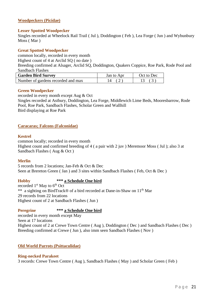#### <span id="page-20-0"></span>**Woodpeckers (Picidae)**

#### **Lesser Spotted Woodpecker**

Singles recorded at Wheelock Rail Trail ( Jul ), Doddington ( Feb ), Lea Forge ( Jun ) and Wybunbury Moss ( Mar )

#### **Great Spotted Woodpecker**

common locally, recorded in every month

Highest count of 4 at Arclid SQ ( no date )

Breeding confirmed at Alsager, Arclid SQ, Doddington, Quakers Coppice, Roe Park, Rode Pool and Sandbach Flashes

| <b>Garden Bird Survey</b>          | Jan to Apr | Oct to Dec |
|------------------------------------|------------|------------|
| Number of gardens recorded and max |            |            |

#### **Green Woodpecker**

recorded in every month except Aug & Oct Singles recorded at Astbury, Doddington, Lea Forge, Middlewich Lime Beds, Mooresbarrow, Rode Pool, Roe Park, Sandbach Flashes, Scholar Green and Wallhill Bird displaying at Roe Park

#### <span id="page-20-1"></span>**Caracaras; Falcons (Falconidae)**

#### **Kestrel**

common locally; recorded in every month Highest count and confirmed breeding of 4 ( a pair with 2 juv ) Meremoor Moss ( Jul ); also 3 at Sandbach Flashes ( Aug & Oct )

#### **Merlin**

5 records from 2 locations; Jan-Feb & Oct & Dec Seen at Brereton Green (Jan) and 3 sites within Sandbach Flashes (Feb, Oct & Dec)

#### **Hobby \*\*\* a Schedule One bird**

recorded 1<sup>st</sup> May to 6<sup>th</sup> Oct \*\* a sighting on BirdTrack® of a bird recorded at Dane-in-Shaw on 11<sup>th</sup> Mar 29 records from 22 locations Highest count of 2 at Sandbach Flashes ( Jun )

#### **Peregrine \*\*\* a Schedule One bird**

recorded in every month except May Seen at 17 locations Highest count of 2 at Crewe Town Centre ( Aug ), Doddington ( Dec ) and Sandbach Flashes ( Dec ) Breeding confirmed at Crewe ( Jun ), also imm seen Sandbach Flashes ( Nov )

#### <span id="page-20-2"></span>**Old World Parrots (Psittaculidae)**

#### **Ring-necked Parakeet**

3 records: Crewe Town Centre ( Aug ), Sandbach Flashes ( May ) and Scholar Green ( Feb )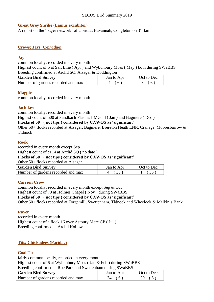#### <span id="page-21-0"></span>**Great Grey Shrike (Lanius excubitor)**

A report on the 'pager network' of a bird at Havannah, Congleton on  $3<sup>rd</sup>$  Jan

#### <span id="page-21-1"></span>**Crows; Jays (Corvidae)**

#### **Jay**

common locally, recorded in every month

Highest count of 5 at Salt Line ( Apr ) and Wybunbury Moss ( May ) both during SWaBBS Breeding confirmed at Arclid SQ, Alsager & Doddington

| <b>Garden Bird Survey</b>          | Jan to Apr | Oct to Dec |
|------------------------------------|------------|------------|
| Number of gardens recorded and max | 6.         |            |

#### **Magpie**

common locally, recorded in every month

#### **Jackdaw**

common locally, recorded in every month

Highest count of 500 at Sandbach Flashes [ MGT ] ( Jan ) and Bagmere ( Dec )

#### **Flocks of 50+ ( not tips ) considered by CAWOS as 'significant'**

Other 50+ flocks recorded at Alsager, Bagmere, Brereton Heath LNR, Cranage, Mooresbarrow & Tidnock

#### **Rook**

recorded in every month except Sep

Highest count of c114 at Arclid SQ ( no date )

#### **Flocks of 50+ ( not tips ) considered by CAWOS as 'significant'**

Other 50+ flocks recorded at Alsager

| <b>Garden Bird Survey</b>          | Jan to Apr | Oct to Dec |
|------------------------------------|------------|------------|
| Number of gardens recorded and max | 4 (35)     | (35)       |

#### **Carrion Crow**

common locally, recorded in every month except Sep & Oct Highest count of 73 at Holmes Chapel ( Nov ) during SWaBBS **Flocks of 50+ ( not tips ) considered by CAWOS as 'significant'** Other 50+ flocks recorded at Forgemill, Swettenham, Tidnock and Wheelock & Malkin's Bank

#### **Raven**

recorded in every month Highest count of a flock 16 over Astbury Mere CP ( Jul ) Breeding confirmed at Arclid Hollow

#### <span id="page-21-2"></span>**Tits; Chickadees (Paridae)**

#### **Coal Tit**

fairly common locally, recorded in every month Highest count of 6 at Wybunbury Moss ( Jan & Feb ) during SWaBBS Breeding confirmed at Roe Park and Swettenham during SWaBBS

| <b>Garden Bird Survey</b>          | <b>Jan to Apr</b> | Oct to Dec |
|------------------------------------|-------------------|------------|
| Number of gardens recorded and max | 34<br>$\sim$ 6    | 39.<br>(6) |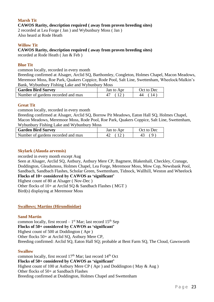#### **Marsh Tit**

**CAWOS Rarity, description required ( away from proven breeding sites)** 

2 recorded at Lea Forge ( Jan ) and Wybunbury Moss ( Jan ) Also heard at Rode Heath

#### **Willow Tit**

#### **CAWOS Rarity, description required ( away from proven breeding sites)**

recorded at Rode Heath ( Jan & Feb )

#### **Blue Tit**

common locally, recorded in every month

Breeding confirmed at Alsager, Arclid SQ, Barthomley, Congleton, Holmes Chapel, Macon Meadows, Meremoor Moss, Roe Park, Quakers Coppice, Rode Pool, Salt Line, Swettenham, Wheelock/Malkin's Bank, Wybunbury Fishing Lake and Wybunbury Moss

| <b>Garden Bird Survey</b>          | Jan to Apr | Oct to Dec |
|------------------------------------|------------|------------|
| Number of gardens recorded and max |            | 14<br>44   |

#### **Great Tit**

common locally, recorded in every month

Breeding confirmed at Alsager, Arclid SQ, Borrow Pit Meadows, Eaton Hall SQ, Holmes Chapel, Macon Meadows, Meremoor Moss, Rode Pool, Roe Park, Quakers Coppice, Salt Line, Swettenham, Wybunbury Fishing Lake and Wybunbury Moss

| <b>Garden Bird Survey</b>          | Jan to Apr | Oct to Dec |
|------------------------------------|------------|------------|
| Number of gardens recorded and max |            |            |

#### <span id="page-22-0"></span>**Skylark (Alauda arvensis)**

recorded in every month except Aug

Seen at Alsager, Arclid SQ, Astbury, Astbury Mere CP, Bagmere, Blakenhall, Checkley, Cranage, Doddington, Gleadsmoss, Holmes Chapel, Lea Forge, Meremoor Moss, Mow Cop, Newsbank Pool, Sandbach, Sandbach Flashes, Scholar Green, Swettenham, Tidnock, Wallhill, Weston and Wheelock **Flocks of 10+ considered by CAWOS as 'significant'**

Highest count of 80 at Alsager ( Nov-Dec )

Other flocks of 10+ at Arclid SQ & Sandbach Flashes ( MGT )

Bird(s) displaying at Meremoor Moss

#### <span id="page-22-1"></span>**Swallows; Martins (Hirundinidae)**

#### **Sand Martin**

common locally, first record  $-1<sup>st</sup>$  Mar; last record  $15<sup>th</sup>$  Sep **Flocks of 50+ considered by CAWOS as 'significant'** Highest count of 500 at Doddington ( Apr ) Other flocks 50+ at Arclid SQ, Astbury Mere CP, Breeding confirmed: Arclid SQ, Eaton Hall SQ; probable at Bent Farm SQ, The Cloud, Gawsworth

#### **Swallow**

common locally, first record 17<sup>th</sup> Mar; last record 14<sup>th</sup> Oct **Flocks of 50+ considered by CAWOS as 'significant'** Highest count of 100 at Astbury Mere CP ( Apr ) and Doddington ( May & Aug ) Other flocks of 50+ at Sandbach Flashes Breeding confirmed at Doddington, Holmes Chapel and Swettenham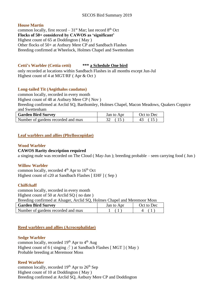#### SECOS Bird Summary 2019

#### **House Martin**

common locally, first record –  $31^{\text{st}}$  Mar; last record  $8^{\text{th}}$  Oct **Flocks of 50+ considered by CAWOS as 'significant'** Highest count of 65 at Doddington ( May ) Other flocks of 50+ at Astbury Mere CP and Sandbach Flashes Breeding confirmed at Wheelock, Holmes Chapel and Swettenham

#### <span id="page-23-0"></span>**Cetti's Warbler (Cettia cetti) \*\*\* a Schedule One bird**

only recorded at locations within Sandbach Flashes in all months except Jun-Jul Highest count of 4 at MGT/RF ( Apr & Oct )

#### <span id="page-23-1"></span>**Long-tailed Tit (Aegithalos caudatus)**

common locally, recorded in every month

Highest count of 48 at Astbury Mere CP ( Nov )

Breeding confirmed at Arclid SQ, Barthomley, Holmes Chapel, Macon Meadows, Quakers Coppice and Swettenham

| <b>Garden Bird Survey</b>          | Jan to Apr | Oct to Dec |
|------------------------------------|------------|------------|
| Number of gardens recorded and max | 32 (15)    | 43 (15)    |

#### <span id="page-23-2"></span>**Leaf warblers and allies (Phylloscopidae)**

#### **Wood Warbler**

#### **CAWOS Rarity description required**

a singing male was recorded on The Cloud ( May-Jun ); breeding probable – seen carrying food ( Jun )

#### **Willow Warbler**

common locally, recorded  $4<sup>th</sup>$  Apr to  $16<sup>th</sup>$  Oct Highest count of c20 at Sandbach Flashes [ EHF ] ( Sep )

#### **Chiffchaff**

common locally, recorded in every month

Highest count of 50 at Arclid SQ ( no date )

Breeding confirmed at Alsager, Arclid SQ, Holmes Chapel and Meremoor Moss

| <b>Garden Bird Survey</b>          | Jan to Apr | Oct to Dec |
|------------------------------------|------------|------------|
| Number of gardens recorded and max |            |            |

#### <span id="page-23-3"></span>**Reed warblers and allies (Acrocephalidae)**

#### **Sedge Warbler**

common locally, recorded 19<sup>th</sup> Apr to 4<sup>th</sup> Aug Highest count of 6 (singing  $\delta$ ) at Sandbach Flashes [MGT ] (May) Probable breeding at Meremoor Moss

#### **Reed Warbler**

common locally, recorded 19<sup>th</sup> Apr to 26<sup>th</sup> Sep Highest count of 10 at Doddington ( May ) Breeding confirmed at Arclid SQ, Astbury Mere CP and Doddington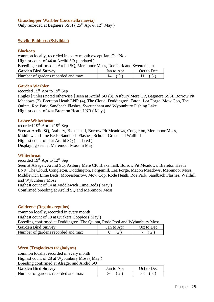#### **Grasshopper Warbler (Locustella naevia)**

Only recorded at Bagmere SSSI ( $25<sup>th</sup>$  Apr &  $12<sup>th</sup>$  May)

#### <span id="page-24-0"></span>**Sylviid Babblers (Sylviidae)**

#### **Blackcap**

common locally, recorded in every month except Jan, Oct-Nov Highest count of 44 at Arclid SQ ( undated ) Breeding confirmed at Arclid SQ, Meremoor Moss, Roe Park and Swettenham

| <b>Garden Bird Survey</b>          | Jan to Apr | Oct to Dec |
|------------------------------------|------------|------------|
| Number of gardens recorded and max |            |            |

#### **Garden Warbler**

recorded  $15<sup>th</sup>$  Apr to  $19<sup>th</sup>$  Sep

singles [unless noted otherwise ] seen at Arclid SQ (3), Astbury Mere CP, Bagmere SSSI, Borrow Pit Meadows (2), Brereton Heath LNR (4), The Cloud, Doddington, Eaton, Lea Forge, Mow Cop, The Quinta, Roe Park, Sandbach Flashes, Swettenham and Wybunbury Fishing Lake Highest count of 4 at Brereton Heath LNR ( May )

#### **Lesser Whitethroat**

recorded 19<sup>th</sup> Apr to 19<sup>th</sup> Sep Seen at Arclid SQ, Astbury, Blakenhall, Borrow Pit Meadows, Congleton, Meremoor Moss, Middlewich Lime Beds, Sandbach Flashes, Scholar Green and Wallhill Highest count of 4 at Arclid SQ ( undated ) Displaying seen at Meremoor Moss in May

#### **Whitethroat**

recorded  $19<sup>th</sup>$  Apr to  $12<sup>th</sup>$  Sep Seen at Alsager, Arclid SQ, Astbury Mere CP, Blakenhall, Borrow Pit Meadows, Brereton Heath LNR, The Cloud, Congleton, Doddington, Forgemill, Lea Forge, Macon Meadows, Meremoor Moss, Middlewich Lime Beds, Mooresbarrow, Mow Cop, Rode Heath, Roe Park, Sandbach Flashes, Wallhill and Wybunbury Moss Highest count of 14 at Middlewich Lime Beds ( May )

Confirmed breeding at Arclid SQ and Meremoor Moss

#### <span id="page-24-1"></span>**Goldcrest (Regulus regulus)**

common locally, recorded in every month Highest count of 13 at Quakers Coppice ( May )

Breeding confirmed at Doddington, The Quinta, Rode Pool and Wybunbury Moss

| <b>Garden Bird Survey</b>          | <b>Jan to Apr</b> | Oct to Dec |
|------------------------------------|-------------------|------------|
| Number of gardens recorded and max |                   |            |

#### <span id="page-24-2"></span>**Wren (Troglodytes troglodytes)**

common locally, recorded in every month

Highest count of 28 at Wybunbury Moss ( May )

Breeding confirmed at Alsager and Arclid SQ

| <b>Garden Bird Survey</b>          | Jan to Apr | Oct to Dec |
|------------------------------------|------------|------------|
| Number of gardens recorded and max | 36         |            |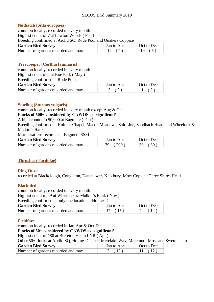#### <span id="page-25-0"></span>**Nuthatch (Sitta europaea)**

common locally, recorded in every month Highest count of 7 at Lawton Woods ( Feb ) Breeding confirmed at Arclid SQ, Rode Pool and Quakers Coppice

| <b>Garden Bird Survey</b>          | Jan to Apr | Oct to Dec |
|------------------------------------|------------|------------|
| Number of gardens recorded and max |            |            |

#### <span id="page-25-1"></span>**Treecreeper (Certhia familiaris)**

common locally, recorded in every month Highest count of 4 at Roe Park ( May ) Breeding confirmed at Rode Pool

| <b>Garden Bird Survey</b>          | <b>Jan to Apr</b> | Oct to Dec |
|------------------------------------|-------------------|------------|
| Number of gardens recorded and max |                   |            |

#### **Starling (Sturnus vulgaris)**

common locally, recorded in every month except Aug & Oct

#### **Flocks of 500+ considered by CAWOS as 'significant'**

A high count of c50,000 at Bagmere ( Feb )

Breeding confirmed at Holmes Chapel, Macon Meadows, Salt Line, Sandbach Heath and Wheelock & Malkin's Bank

Murmurations recorded at Bagmere SSSI

| <b>Garden Bird Survey</b>          | <b>Jan to Apr</b> | Oct to Dec |
|------------------------------------|-------------------|------------|
| Number of gardens recorded and max | 39 $(200)$        | (30)       |

#### <span id="page-25-2"></span>**Thrushes (Turdidae)**

#### **Ring Ouzel**

recorded at Blackclough, Congleton, Danebower, Knotbury, Mow Cop and Three Shires Head

#### **Blackbird**

common locally, recorded in every month

Highest count of 49 at Wheelock & Malkin's Bank ( Nov )

Breeding confirmed at only one location – Holmes Chapel

| <b>Garden Bird Survey</b>          | Jan to Apr | Oct to Dec |
|------------------------------------|------------|------------|
| Number of gardens recorded and max |            | 44         |

#### **Fieldfare**

#### common locally, recorded in Jan-Apr & Oct-Dec

#### **Flocks of 50+ considered by CAWOS as 'significant'**

Highest count of 180 at Brereton Heath LNR ( Apr )

Other 50+ flocks at Arclid SQ, Holmes Chapel, Merelake Way, Meremoor Moss and Swettenham

| <b>Garden Bird Survey</b>          | Jan to Apr | Oct to Dec |
|------------------------------------|------------|------------|
| Number of gardens recorded and max | 3(12)      |            |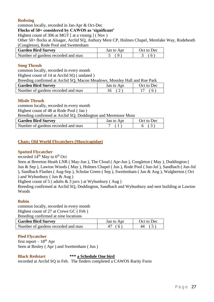#### **Redwing**

common locally, recorded in Jan-Apr & Oct-Dec

#### **Flocks of 50+ considered by CAWOS as 'significant'**

Highest count of 306 at MGT [ at a vismig ] ( Nov )

Other 50+ flocks at Alsager, Arclid SQ, Astbury Mere CP, Holmes Chapel, Merelake Way, Rodeheath (Congleton), Rode Pool and Swettenham

| <b>Garden Bird Survey</b>          | Jan to Apr | Oct to Dec |
|------------------------------------|------------|------------|
| Number of gardens recorded and max | 5(9)       | 3 (6)      |

#### **Song Thrush**

common locally, recorded in every month

Highest count of 14 at Arclid SQ ( undated )

Breeding confirmed at Arclid SQ, Macon Meadows, Mossley Hall and Roe Park

| <b>Garden Bird Survey</b>          | Jan to Apr | Oct to Dec |
|------------------------------------|------------|------------|
| Number of gardens recorded and max |            | (6)        |

#### **Mistle Thrush**

common locally, recorded in every month

Highest count of 48 at Rode Pool ( Jan )

Breeding confirmed at Arclid SQ, Doddington and Meremoor Moss

| <b>Garden Bird Survey</b>          | Jan to Apr | Oct to Dec |
|------------------------------------|------------|------------|
| Number of gardens recorded and max |            |            |

#### <span id="page-26-0"></span>**Chats; Old World Flycatchers (Muscicapidae)**

#### **Spotted Flycatcher**

recorded  $14<sup>th</sup>$  May to  $6<sup>th</sup>$  Oct

Seen at Brereton Heath LNR ( May-Jun ), The Cloud ( Apr-Jun ), Congleton ( May ), Doddington ( Jun & Sep ), Lawton Woods ( May ), Holmes Chapel ( Jun ), Rode Pool ( Jun-Jul ), Sandbach ( Jun-Jul ), Sandbach Flashes ( Aug-Sep ), Scholar Green ( Sep ), Swettenham ( Jun & Aug ), Walgherton ( Oct ) and Wybunbury ( Jun & Aug )

Highest count of 5 ( adults  $& 3$  juvs ) at Wybunbury ( Aug )

Breeding confirmed at Arclid SQ, Doddington, Sandbach and Wybunbury and nest building at Lawton Woods

#### **Robin**

common locally, recorded in every month Highest count of 27 at Crewe GC ( Feb ) Breeding confirmed at nine locations

| <b>Garden Bird Survey</b>          | Jan to Apr | Oct to Dec |
|------------------------------------|------------|------------|
| Number of gardens recorded and max | 6          | 44         |

#### **Pied Flycatcher**

first report  $-18^{th}$  Apr Seen at Bosley ( Apr ) and Swettenham ( Jun )

**Black Redstart \*\*\* a Schedule One bird**

recorded at Arclid SQ in Feb. The finders completed a CAWOS Rarity Form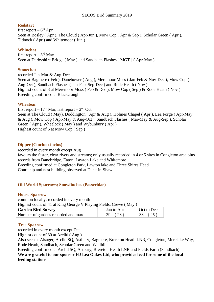#### **Redstart**

first report –  $6^{\text{th}}$  Apr Seen at Bosley (Apr), The Cloud (Apr-Jun), Mow Cop (Apr & Sep), Scholar Green (Apr), Tidnock ( Apr ) and Whitemoor ( Jun )

#### **Whinchat**

first report  $-3<sup>rd</sup>$  May Seen at Derbyshire Bridge (May) and Sandbach Flashes [MGT ] (Apr-May)

#### **Stonechat**

recorded Jan-Mar & Aug-Dec Seen at Bagmere ( Feb ), Danebower ( Aug ), Meremoor Moss ( Jan-Feb & Nov-Dec ), Mow Cop ( Aug-Oct ), Sandbach Flashes ( Jan-Feb, Sep-Dec ) and Rode Heath ( Nov ) Highest count of 3 at Meremoor Moss ( Feb & Dec ), Mow Cop ( Sep ) & Rode Heath ( Nov ) Breeding confirmed at Blackclough

#### **Wheatear**

first report –  $17^{\text{th}}$  Mar, last report –  $2^{\text{nd}}$  Oct Seen at The Cloud ( May), Doddington ( Apr & Aug ), Holmes Chapel ( Apr ), Lea Forge ( Apr-May & Aug ), Mow Cop ( Apr-May & Aug-Oct ), Sandbach Flashes ( Mar-May & Aug-Sep ), Scholar Green ( Apr ), Wheelock ( May ) and Wybunbury ( Apr ) Highest count of 6 at Mow Cop ( Sep )

#### <span id="page-27-0"></span>**Dipper (Cinclus cinclus)**

recorded in every month except Aug favours the faster, clear rivers and streams; only usually recorded in 4 or 5 sites in Congleton area plus records from Danebridge, Eaton, Lawton Lake and Whitemore Breeding confirmed at Congleton Park, Lawton lake and Three Shires Head Courtship and nest building observed at Dane-in-Shaw

#### **Old World Sparrows; Snowfinches (Passeridae)**

#### **House Sparrow**

common locally, recorded in every month

Highest count of 41 at King George V Playing Fields, Crewe ( May )

| <b>Garden Bird Survey</b>          | Jan to Apr | Oct to Dec |
|------------------------------------|------------|------------|
| Number of gardens recorded and max | 028        |            |

#### **Tree Sparrow**

recorded in every month except Dec

Highest count of 30 at Arclid ( Aug )

Also seen at Alsager, Arclid SQ, Astbury, Bagmere, Brereton Heath LNR, Congleton, Merelake Way, Rode Heath, Sandbach, Scholar Green and Wallhill

Breeding confirmed at Arclid SQ, Astbury, Brereton Heath LNR and Fields Farm (Sandbach) **We are grateful to our sponsor HJ Lea Oakes Ltd, who provides feed for some of the local feeding stations**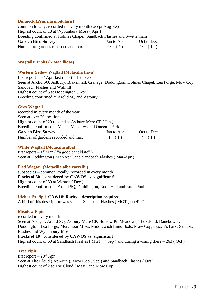#### <span id="page-28-0"></span>**Dunnock (Prunella modularis)**

common locally, recorded in every month except Aug-Sep Highest count of 18 at Wybunbury Moss ( Apr ) Breeding confirmed at Holmes Chapel, Sandbach Flashes and Swettenham

| <b>Garden Bird Survey</b>          | Jan to Apr | Oct to Dec |
|------------------------------------|------------|------------|
| Number of gardens recorded and max |            | 43 (12)    |

#### <span id="page-28-1"></span>**Wagtails; Pipits (Motacillidae)**

#### **Western Yellow Wagtail (Motacilla flava)**

first report –  $6^{\text{th}}$  Apr; last report –  $15^{\text{th}}$  Sep Seen at Arclid SQ, Astbury, Blakenhall, Cranage, Doddington, Holmes Chapel, Lea Forge, Mow Cop, Sandbach Flashes and Wallhill Highest count of 5 at Doddington ( Apr ) Breeding confirmed at Arclid SQ and Astbury

#### **Grey Wagtail**

recorded in every month of the year Seen at over 20 locations Highest count of 29 roosted at Astbury Mere CP ( Jan ) Breeding confirmed at Macon Meadows and Queen's Park

| <b>Garden Bird Survey</b>          | Jan to Apr | Oct to Dec |
|------------------------------------|------------|------------|
| Number of gardens recorded and max | 1(1)       |            |

#### **White Wagtail (Motacilla alba)**

first report  $-1$ <sup>st</sup> Mar { "a good candidate" } Seen at Doddington ( Mar-Apr ) and Sandbach Flashes ( Mar-Apr )

#### **Pied Wagtail (Motacilla alba yarrellii)**

subspecies – common locally, recorded in every month **Flocks of 50+ considered by CAWOS as 'significant'** Highest count of 50 at Weston ( Dec ) Breeding confirmed at Arclid SQ, Doddington, Rode Hall and Rode Pool

**Richard's Pipit CAWOS Rarity – description required**

A bird of this description was seen at Sandbach Flashes  $\lceil MGT \rceil$  on  $4<sup>th</sup> Oct$ 

#### **Meadow Pipit**

recorded in every month Seen at Alsager, Arclid SQ, Astbury Mere CP, Borrow Pit Meadows, The Cloud, Danebower, Doddington, Lea Forge, Meremoor Moss, Middlewich Lime Beds, Mow Cop, Queen's Park, Sandbach Flashes and Wybunbury Moss **Flocks of 10+ considered by CAWOS as 'significant'**

Highest count of 60 at Sandbach Flashes [MGT ] (Sep) and during a vismig there  $-263$  (Oct)

#### **Tree Pipit**

first report  $-20<sup>th</sup>$  Apr Seen at The Cloud ( Apr-Jun ), Mow Cop ( Sep ) and Sandbach Flashes ( Oct ) Highest count of 2 at The Cloud ( May ) and Mow Cop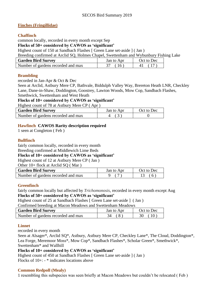#### <span id="page-29-0"></span>**Finches (Fringillidae)**

#### **Chaffinch**

common locally, recorded in every month except Sep **Flocks of 50+ considered by CAWOS as 'significant'**

Highest count of 150 at Sandbach Flashes [ Green Lane set-aside ] ( Jan )

Breeding confirmed at Arclid SQ, Holmes Chapel, Swettenham and Wybunbury Fishing Lake

| <b>Garden Bird Survey</b>          | Jan to Apr | Oct to Dec |
|------------------------------------|------------|------------|
| Number of gardens recorded and max | -16        |            |

#### **Brambling**

recorded in Jan-Apr & Oct & Dec

Seen at Arclid, Astbury Mere CP, Bathvale, Biddulph Valley Way, Brereton Heath LNR, Checkley Lane, Dane-in-Shaw, Doddington, Goostrey, Lawton Woods, Mow Cop, Sandbach Flashes, Smethwick, Swettenham and West Heath

#### **Flocks of 10+ considered by CAWOS as 'significant'**

Highest count of 78 at Astbury Mere CP ( Apr )

| <b>Garden Bird Survey</b>          | Jan to Apr | Oct to Dec |
|------------------------------------|------------|------------|
| Number of gardens recorded and max |            |            |

#### **Hawfinch CAWOS Rarity description required**

1 seen at Congleton ( Feb )

#### **Bullfinch**

fairly common locally, recorded in every month

Breeding confirmed at Middlewich Lime Beds

#### **Flocks of 10+ considered by CAWOS as 'significant'**

Highest count of 12 at Astbury Mere CP ( Jan )

Other 10+ flock at Arclid SQ ( Mar )

| <b>Garden Bird Survey</b>          | <b>Jan to Apr</b> | Oct to Dec |
|------------------------------------|-------------------|------------|
| Number of gardens recorded and max |                   | (6)        |

#### **Greenfinch**

fairly common locally but affected by *Trichomonosis*, recorded in every month except Aug **Flocks of 50+ considered by CAWOS as 'significant'**

Highest count of 25 at Sandbach Flashes [ Green Lane set-aside ] ( Jan )

Confirmed breeding at Macon Meadows and Swettenham Meadows

| <b>Garden Bird Survey</b>          | Jan to Apr | Oct to Dec |
|------------------------------------|------------|------------|
| Number of gardens recorded and max |            |            |

#### **Linnet**

recorded in every month

Seen at Alsager\*, Arclid SQ\*, Astbury, Astbury Mere CP, Checkley Lane\*, The Cloud, Doddington\*, Lea Forge, Meremoor Moss\*, Mow Cop\*, Sandbach Flashes\*, Scholar Green\*, Smethwick\*, Swettenham\* and Wallhill

#### **Flocks of 10+ considered by CAWOS as 'significant'**

Highest count of 450 at Sandbach Flashes [ Green Lane set-aside ] ( Jan ) Flocks of 10+: - \* indicates locations above

#### **Common Redpoll (Mealy)**

1 resembling this subspecies was seen briefly at Macon Meadows but couldn't be relocated ( Feb )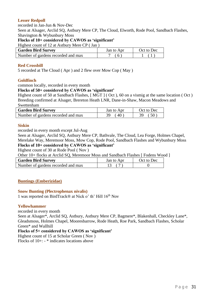#### **Lesser Redpoll**

recorded in Jan-Jun & Nov-Dec Seen at Alsager, Arclid SQ, Astbury Mere CP, The Cloud, Elworth, Rode Pool, Sandbach Flashes, Shavington & Wybunbury Moss

**Flocks of 10+ considered by CAWOS as 'significant'**

Highest count of 12 at Astbury Mere CP ( Jan )

| <b>Garden Bird Survey</b>          | <b>Jan to Apr</b> | Oct to Dec |
|------------------------------------|-------------------|------------|
| Number of gardens recorded and max | 6                 |            |

#### **Red Crossbill**

5 recorded at The Cloud ( Apr ) and 2 flew over Mow Cop ( May )

#### **Goldfinch**

common locally, recorded in every month

#### **Flocks of 50+ considered by CAWOS as 'significant'**

Highest count of 50 at Sandbach Flashes, [MGT] (Oct), 60 on a vismig at the same location (Oct) Breeding confirmed at Alsager, Brereton Heath LNR, Dane-in-Shaw, Macon Meadows and Swettenham

| <b>Garden Bird Survey</b>          | Jan to Apr | Oct to Dec |
|------------------------------------|------------|------------|
| Number of gardens recorded and max | 40         | (50)<br>39 |

#### **Siskin**

recorded in every month except Jul-Aug

Seen at Alsager, Arclid SQ, Astbury Mere CP, Bathvale, The Cloud, Lea Forge, Holmes Chapel, Merelake Way, Meremoor Moss, Mow Cop, Rode Pool, Sandbach Flashes and Wybunbury Moss **Flocks of 10+ considered by CAWOS as 'significant'**

Highest count of 30 at Rode Pool ( Nov )

Other 10+ flocks at Arclid SQ, Meremoor Moss and Sandbach Flashes [ Fodens Wood ]

| <b>Garden Bird Survey</b>          | Jan to Apr | Oct to Dec |
|------------------------------------|------------|------------|
| Number of gardens recorded and max |            |            |

#### <span id="page-30-0"></span>**Buntings (Emberizidae)**

#### **Snow Bunting (Plectrophenax nivalis)**

1 was reported on BirdTrack® at Nick o' th' Hill 16th Nov

#### **Yellowhammer**

recorded in every month

Seen at Alsager\*, Arclid SQ, Astbury, Astbury Mere CP, Bagmere\*, Blakenhall, Checkley Lane\*, Gleadsmoss, Holmes Chapel, Mooresbarrow, Rode Heath, Roe Park, Sandbach Flashes, Scholar Green\* and Wallhill

#### **Flocks of 5+ considered by CAWOS as 'significant'**

Highest count of 15 at Scholar Green ( Nov )

Flocks of 10+: - \* indicates locations above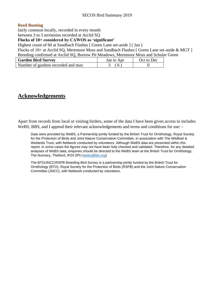#### **Reed Bunting**

fairly common locally, recorded in every month

between 3 to 5 territories recorded at Arclid SQ

#### **Flocks of 10+ considered by CAWOS as 'significant'**

Highest count of 60 at Sandbach Flashes [ Green Lane set-aside ] ( Jan )

Flocks of 10+ at Arclid SO, Meremoor Moss and Sandbach Flashes [ Green Lane set-aside & MGT ] Breeding confirmed at Arclid SQ, Borrow Pit Meadows, Meremoor Moss and Scholar Green

| <b>Garden Bird Survey</b>          | Jan to Apr | Oct to Dec |
|------------------------------------|------------|------------|
| Number of gardens recorded and max | (6)        |            |

#### **Acknowledgements**

Apart from records from local or visiting birders, some of the data I have been given access to includes WeBS, BBS, and I append their relevant acknowledgements and terms and conditions for use: -

Data were provided by WeBS, a Partnership jointly funded by the British Trust for Ornithology, Royal Society for the Protection of Birds and Joint Nature Conservation Committee, in association with The Wildfowl & Wetlands Trust, with fieldwork conducted by volunteers. Although WeBS data are presented within this report, in some cases the figures may not have been fully checked and validated. Therefore, for any detailed analyses of WeBS data, enquiries should be directed to the WeBS team at the British Trust for Ornithology, The Nunnery, Thetford, IP24 2PU [\(webs@bto.org\)](mailto:webs@bto.org)

The BTO/JNCC/RSPB Breeding Bird Survey is a partnership jointly funded by the British Trust for Ornithology (BTO), Royal Society for the Protection of Birds (RSPB) and the Joint Nature Conservation Committee (JNCC), with fieldwork conducted by volunteers.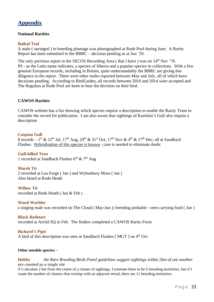#### <span id="page-32-0"></span>**Appendix**

#### <span id="page-32-1"></span>**National Rarities**

#### **Baikal Teal**

A male ( unringed ) in breeding plumage was photographed at Rode Pool during June. A Rarity Report has been submitted to the BBRC – decision pending as at Jun '20.

The only previous report in the SECOS Recording Area (that I have) was on  $14<sup>th</sup>$  Nov '78. PS - as the Latin name indicates, a species of Siberia and a popular species in collections. With a few genuine European records, including in Britain, quite understandably the BBRC are giving due diligence to the report. There were other males reported between May and July, all of which have decisions pending. According to BirdGuides, all records between 2010 and 2014 were accepted and The Regulars at Rode Pool are keen to hear the decision on their bird.

#### <span id="page-32-2"></span>**CAWOS Rarities**

CAWOS website has a list showing which species require a description to enable the Rarity Team to consider the record for publication. I am also aware that sightings of Kumlien's Gull also require a description

#### **Caspian Gull**

8 records – 1<sup>st</sup> & 12<sup>th</sup> Jul, 17<sup>th</sup> Aug, 29<sup>th</sup> & 31<sup>st</sup> Oct, 17<sup>th</sup> Nov & 4<sup>th</sup> & 17<sup>th</sup> Dec; all at Sandbach Flashes. Hybridisation of this species is known - care is needed to eliminate doubt

**Gull-billed Tern** 1 recorded at Sandbach Flashes  $6<sup>th</sup>$  &  $7<sup>th</sup>$  Aug

#### **Marsh Tit**

2 recorded at Lea Forge ( Jan ) and Wybunbury Moss ( Jan ) Also heard at Rode Heath

**Willow Tit** recorded at Rode Heath ( Jan & Feb )

#### **Wood Warbler**

a singing male was recorded on The Cloud ( May-Jun ); breeding probable - seen carrying food ( Jun )

#### **Black Redstart**

recorded at Arclid SQ in Feb. The finders completed a CAWOS Rarity Form

#### **Richard's Pipit**

A bird of this description was seen at Sandbach Flashes [ MGT ] on 4<sup>th</sup> Oct

#### **Other notable species: -**

#### **Hobby** *the Rare Breeding Birds Panel guidelines suggest sightings within 2km of one another are counted as a single site*

if I calculate 2 km from the centre of a cluster of sightings, I estimate there to be 6 breeding territories, but if I count the number of clusters that overlap with an adjacent tetrad, there are 11 breeding territories.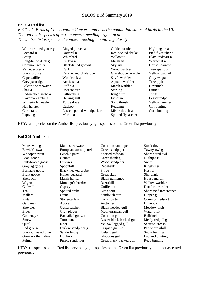#### <span id="page-33-0"></span>**BoCC4 Red list**

*BoCC4 is Birds of Conservation Concern and lists the population status of birds in the UK The red list is species of most concern, needing urgent action The amber list is species of concern needing monitoring closely*

| White-fronted goose <b>g</b> | Ringed plover a           | Golden oriole       | Nightingale a         |
|------------------------------|---------------------------|---------------------|-----------------------|
| Pochard a                    | Dotterel a                | Red-backed shrike   | Pied flycatcher a     |
| Scaup                        | Whimbrel                  | Willow tit          | Black redstart a      |
| Long-tailed duck <b>g</b>    | Curlew a                  | Marsh tit           | Whinchat <b>a</b>     |
| Common scoter                | Black-tailed godwit       | Skylark             | House sparrow         |
| Velvet scoter <b>a</b>       | Ruff                      | Wood warbler        | Tree sparrow          |
| Black grouse                 | Red-necked phalarope      | Grasshopper warbler | Yellow wagtail        |
| Capercaillie                 | Woodcock <b>a</b>         | Savi's warbler      | Grey wagtail <b>a</b> |
| Grey partridge               | Arctic skua               | Aquatic warbler     | Tree pipit            |
| Balearic shearwater          | Puffin a                  | Marsh warbler       | Hawfinch              |
| Shag a                       | Roseate tern              | <b>Starling</b>     | Linnet                |
| Red-necked grebe a           | Kittiwake <b>a</b>        | Ring ouzel          | Twite                 |
| Slavonian grebe a            | Herring gull              | Fieldfare           | Lesser redpoll        |
| White-tailed eagle           | Turtle dove               | Song thrush         | Yellowhammer          |
| Hen harrier                  | Cuckoo                    | Redwing             | Cirl bunting          |
| Corncrake                    | Lesser spotted woodpecker | Mistle thrush a     | Corn bunting          |
| Lapwing                      | Merlin a                  | Spotted flycatcher  |                       |

KEY:  $a$  – species on the Amber list previously,  $g$  – species on the Green list previously

#### <span id="page-33-1"></span>**BoCC4 Amber list**

| Mute swan <b>g</b>   | Manx shearwater       | Common sandpiper         | Stock dove             |
|----------------------|-----------------------|--------------------------|------------------------|
| Bewick's swan        | European storm petrel | Green sandpiper          | Tawny owl g            |
| Whooper swan         | Leach's petrel        | Spotted redshank         | Short-eared owl        |
| Bean goose           | Gannet                | Greenshank g             | Nightjar r             |
| Pink-footed goose    | Bittern r             | Wood sandpiper           | Swift                  |
| Greylag goose        | Spoonbill             | Redshank                 | Kingfisher             |
| Barnacle goose       | Black-necked grebe    | Snipe                    | Kestrel                |
| Brent goose          | Honey buzzard         | Great skua               | <b>Shorelark</b>       |
| Shelduck             | Marsh harrier         | Black guillemot          | House martin           |
| Wigeon               | Montagu's harrier     | Razorbill                | Willow warbler         |
| Gadwall              | Osprey                | Guillemot                | Dartford warbler       |
| Teal                 | Spotted crake         | Little tern              | Short-toed treecreeper |
| Mallard              | Crane                 | Sandwich tern            | Dipper g               |
| Pintail              | Stone-curlew          | Common tern              | Common redstart        |
| Garganey             | Avocet                | Arctic tern              | Dunnock                |
| Shoveler             | Oystercatcher         | Black-headed gull        | Meadow pipit           |
| Eider                | Grey plover           | Mediterranean gull       | Water pipit            |
| Goldeneye            | Bar-tailed godwit     | Common gull              | <b>Bullfinch</b>       |
| Smew                 | Turnstone             | Lesser black-backed gull | Mealy redpoll g        |
| Quail                | Knot                  | Yellow-legged gull       | Scottish crossbill     |
| Red grouse           | Curlew sandpiper g    | Caspian gull na          | Parrot crossbill       |
| Black-throated diver | Sanderling <b>g</b>   | Iceland gull             | Snow bunting           |
| Great northern diver | Dunlin $r$            | Glaucous gull            | Lapland bunting        |
| Fulmar               | Purple sandpiper      | Great black-backed gull  | Reed bunting           |

KEY: r – species on the Red list previously, g – species on the Green list previously, na – not assessed previously